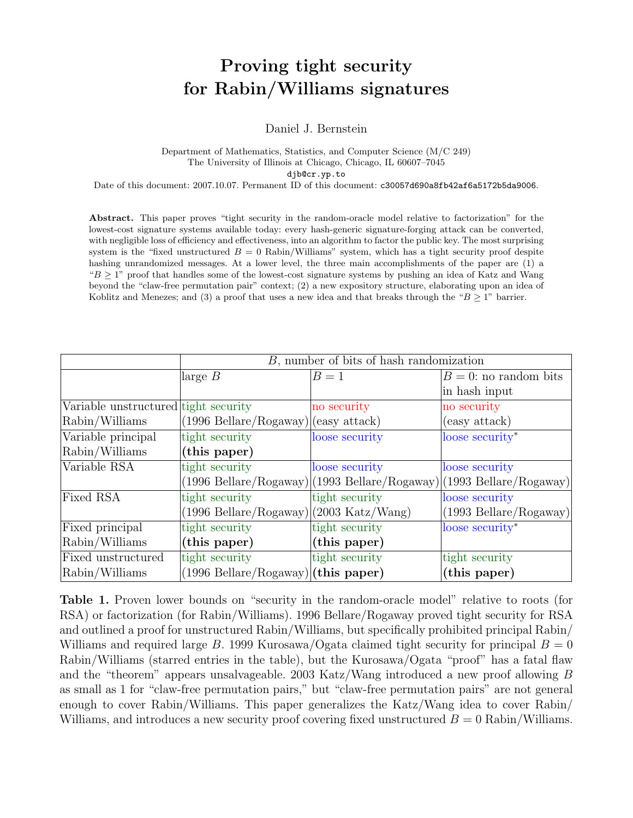# Proving tight security for Rabin/Williams signatures

Daniel J. Bernstein

#### Department of Mathematics, Statistics, and Computer Science (M/C 249) The University of Illinois at Chicago, Chicago, IL 60607–7045 djb@cr.yp.to

Date of this document: 2007.10.07. Permanent ID of this document: c30057d690a8fb42af6a5172b5da9006.

Abstract. This paper proves "tight security in the random-oracle model relative to factorization" for the lowest-cost signature systems available today: every hash-generic signature-forging attack can be converted, with negligible loss of efficiency and effectiveness, into an algorithm to factor the public key. The most surprising system is the "fixed unstructured  $B = 0$  Rabin/Williams" system, which has a tight security proof despite hashing unrandomized messages. At a lower level, the three main accomplishments of the paper are (1) a " $B \geq 1$ " proof that handles some of the lowest-cost signature systems by pushing an idea of Katz and Wang beyond the "claw-free permutation pair" context; (2) a new expository structure, elaborating upon an idea of Koblitz and Menezes; and (3) a proof that uses a new idea and that breaks through the " $B \ge 1$ " barrier.

|                                      | $B$ , number of bits of hash randomization                                |                                                                                 |                                         |
|--------------------------------------|---------------------------------------------------------------------------|---------------------------------------------------------------------------------|-----------------------------------------|
|                                      | large $B$                                                                 | $B=1$                                                                           | $B = 0$ : no random bits                |
|                                      |                                                                           |                                                                                 | in hash input                           |
| Variable unstructured tight security |                                                                           | no security                                                                     | no security                             |
| Rabin/Williams                       | $(1996 \text{ Bellare}/\text{Rogaway})$ (easy attack)                     |                                                                                 | (easy attack)                           |
| Variable principal                   | tight security                                                            | loose security                                                                  | loose security*                         |
| Rabin/Williams                       | (this paper)                                                              |                                                                                 |                                         |
| Variable RSA                         | tight security                                                            | loose security                                                                  | loose security                          |
|                                      |                                                                           | $(1996 \text{ Bellare}/\text{Rogaway})$ $(1993 \text{ Bellare}/\text{Rogaway})$ | $(1993 \text{ Bellare}/\text{Rogaway})$ |
| Fixed RSA                            | tight security                                                            | tight security                                                                  | loose security                          |
|                                      | $(1996 \text{ Bellare}/\text{Rogaway})$ $(2003 \text{ Katz}/\text{Wang})$ |                                                                                 | $(1993 \text{ Bellare}/\text{Rogaway})$ |
| Fixed principal                      | tight security                                                            | tight security                                                                  | loose security*                         |
| Rabin/Williams                       | (this paper)                                                              | (this paper)                                                                    |                                         |
| Fixed unstructured                   | tight security                                                            | tight security                                                                  | tight security                          |
| Rabin/Williams                       | $(1996 \text{ Bellare}/\text{Rogaway})$ (this paper)                      |                                                                                 | (this paper)                            |

Table 1. Proven lower bounds on "security in the random-oracle model" relative to roots (for RSA) or factorization (for Rabin/Williams). 1996 Bellare/Rogaway proved tight security for RSA and outlined a proof for unstructured Rabin/Williams, but specifically prohibited principal Rabin/ Williams and required large B. 1999 Kurosawa/Ogata claimed tight security for principal  $B = 0$ Rabin/Williams (starred entries in the table), but the Kurosawa/Ogata "proof" has a fatal flaw and the "theorem" appears unsalvageable. 2003 Katz/Wang introduced a new proof allowing B as small as 1 for "claw-free permutation pairs," but "claw-free permutation pairs" are not general enough to cover Rabin/Williams. This paper generalizes the Katz/Wang idea to cover Rabin/ Williams, and introduces a new security proof covering fixed unstructured  $B = 0$  Rabin/Williams.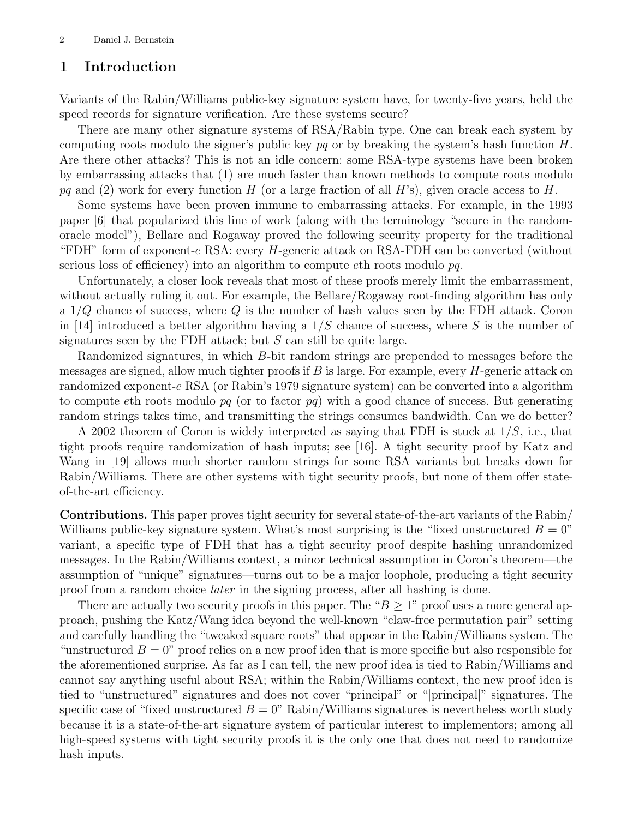## 1 Introduction

Variants of the Rabin/Williams public-key signature system have, for twenty-five years, held the speed records for signature verification. Are these systems secure?

There are many other signature systems of RSA/Rabin type. One can break each system by computing roots modulo the signer's public key  $pq$  or by breaking the system's hash function H. Are there other attacks? This is not an idle concern: some RSA-type systems have been broken by embarrassing attacks that (1) are much faster than known methods to compute roots modulo pq and (2) work for every function H (or a large fraction of all H's), given oracle access to H.

Some systems have been proven immune to embarrassing attacks. For example, in the 1993 paper [6] that popularized this line of work (along with the terminology "secure in the randomoracle model"), Bellare and Rogaway proved the following security property for the traditional "FDH" form of exponent-e RSA: every  $H$ -generic attack on RSA-FDH can be converted (without serious loss of efficiency) into an algorithm to compute eth roots modulo pq.

Unfortunately, a closer look reveals that most of these proofs merely limit the embarrassment, without actually ruling it out. For example, the Bellare/Rogaway root-finding algorithm has only a  $1/Q$  chance of success, where  $Q$  is the number of hash values seen by the FDH attack. Coron in [14] introduced a better algorithm having a  $1/S$  chance of success, where S is the number of signatures seen by the FDH attack; but  $S$  can still be quite large.

Randomized signatures, in which B-bit random strings are prepended to messages before the messages are signed, allow much tighter proofs if  $B$  is large. For example, every  $H$ -generic attack on randomized exponent-e RSA (or Rabin's 1979 signature system) can be converted into a algorithm to compute eth roots modulo  $pq$  (or to factor  $pq$ ) with a good chance of success. But generating random strings takes time, and transmitting the strings consumes bandwidth. Can we do better?

A 2002 theorem of Coron is widely interpreted as saying that FDH is stuck at  $1/S$ , i.e., that tight proofs require randomization of hash inputs; see [16]. A tight security proof by Katz and Wang in [19] allows much shorter random strings for some RSA variants but breaks down for Rabin/Williams. There are other systems with tight security proofs, but none of them offer stateof-the-art efficiency.

Contributions. This paper proves tight security for several state-of-the-art variants of the Rabin/ Williams public-key signature system. What's most surprising is the "fixed unstructured  $B = 0$ " variant, a specific type of FDH that has a tight security proof despite hashing unrandomized messages. In the Rabin/Williams context, a minor technical assumption in Coron's theorem—the assumption of "unique" signatures—turns out to be a major loophole, producing a tight security proof from a random choice later in the signing process, after all hashing is done.

There are actually two security proofs in this paper. The " $B \geq 1$ " proof uses a more general approach, pushing the Katz/Wang idea beyond the well-known "claw-free permutation pair" setting and carefully handling the "tweaked square roots" that appear in the Rabin/Williams system. The "unstructured  $B = 0$ " proof relies on a new proof idea that is more specific but also responsible for the aforementioned surprise. As far as I can tell, the new proof idea is tied to Rabin/Williams and cannot say anything useful about RSA; within the Rabin/Williams context, the new proof idea is tied to "unstructured" signatures and does not cover "principal" or "|principal|" signatures. The specific case of "fixed unstructured  $B = 0$ " Rabin/Williams signatures is nevertheless worth study because it is a state-of-the-art signature system of particular interest to implementors; among all high-speed systems with tight security proofs it is the only one that does not need to randomize hash inputs.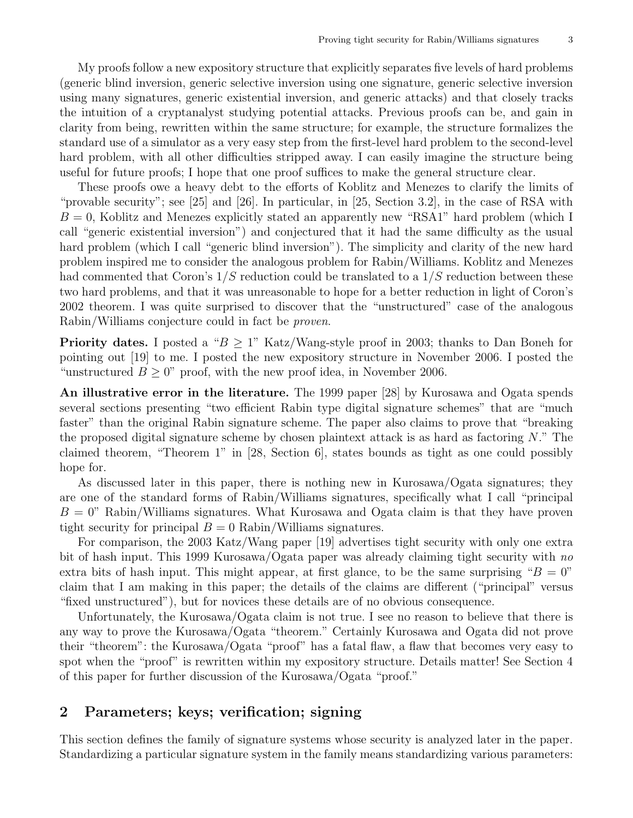My proofs follow a new expository structure that explicitly separates five levels of hard problems (generic blind inversion, generic selective inversion using one signature, generic selective inversion using many signatures, generic existential inversion, and generic attacks) and that closely tracks the intuition of a cryptanalyst studying potential attacks. Previous proofs can be, and gain in clarity from being, rewritten within the same structure; for example, the structure formalizes the standard use of a simulator as a very easy step from the first-level hard problem to the second-level hard problem, with all other difficulties stripped away. I can easily imagine the structure being useful for future proofs; I hope that one proof suffices to make the general structure clear.

These proofs owe a heavy debt to the efforts of Koblitz and Menezes to clarify the limits of "provable security"; see [25] and [26]. In particular, in [25, Section 3.2], in the case of RSA with  $B = 0$ , Koblitz and Menezes explicitly stated an apparently new "RSA1" hard problem (which I call "generic existential inversion") and conjectured that it had the same difficulty as the usual hard problem (which I call "generic blind inversion"). The simplicity and clarity of the new hard problem inspired me to consider the analogous problem for Rabin/Williams. Koblitz and Menezes had commented that Coron's  $1/S$  reduction could be translated to a  $1/S$  reduction between these two hard problems, and that it was unreasonable to hope for a better reduction in light of Coron's 2002 theorem. I was quite surprised to discover that the "unstructured" case of the analogous Rabin/Williams conjecture could in fact be proven.

**Priority dates.** I posted a " $B > 1$ " Katz/Wang-style proof in 2003; thanks to Dan Boneh for pointing out [19] to me. I posted the new expository structure in November 2006. I posted the "unstructured  $B \geq 0$ " proof, with the new proof idea, in November 2006.

An illustrative error in the literature. The 1999 paper [28] by Kurosawa and Ogata spends several sections presenting "two efficient Rabin type digital signature schemes" that are "much faster" than the original Rabin signature scheme. The paper also claims to prove that "breaking the proposed digital signature scheme by chosen plaintext attack is as hard as factoring  $N$ ." The claimed theorem, "Theorem 1" in [28, Section 6], states bounds as tight as one could possibly hope for.

As discussed later in this paper, there is nothing new in Kurosawa/Ogata signatures; they are one of the standard forms of Rabin/Williams signatures, specifically what I call "principal  $B = 0$ " Rabin/Williams signatures. What Kurosawa and Ogata claim is that they have proven tight security for principal  $B = 0$  Rabin/Williams signatures.

For comparison, the 2003 Katz/Wang paper [19] advertises tight security with only one extra bit of hash input. This 1999 Kurosawa/Ogata paper was already claiming tight security with no extra bits of hash input. This might appear, at first glance, to be the same surprising " $B = 0$ " claim that I am making in this paper; the details of the claims are different ("principal" versus "fixed unstructured"), but for novices these details are of no obvious consequence.

Unfortunately, the Kurosawa/Ogata claim is not true. I see no reason to believe that there is any way to prove the Kurosawa/Ogata "theorem." Certainly Kurosawa and Ogata did not prove their "theorem": the Kurosawa/Ogata "proof" has a fatal flaw, a flaw that becomes very easy to spot when the "proof" is rewritten within my expository structure. Details matter! See Section 4 of this paper for further discussion of the Kurosawa/Ogata "proof."

### 2 Parameters; keys; verification; signing

This section defines the family of signature systems whose security is analyzed later in the paper. Standardizing a particular signature system in the family means standardizing various parameters: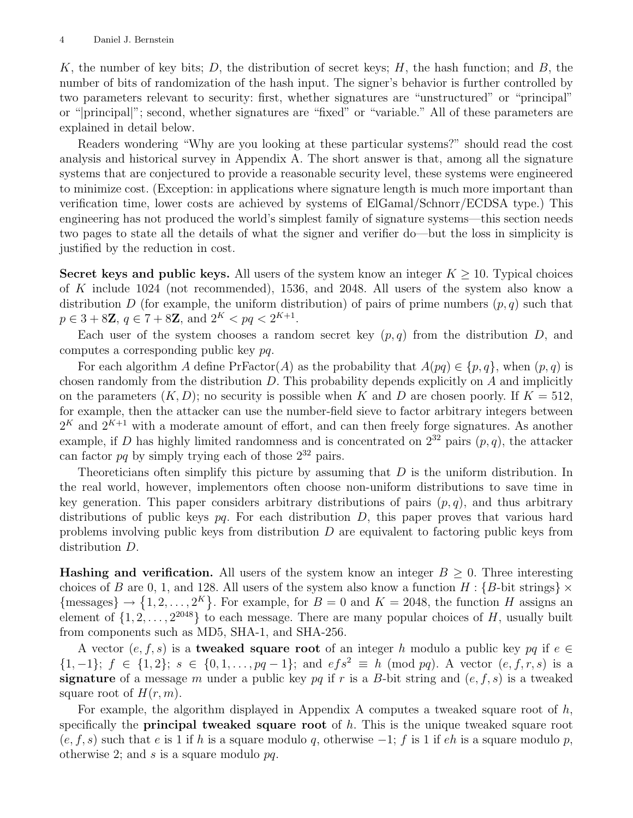K, the number of key bits; D, the distribution of secret keys;  $H$ , the hash function; and  $B$ , the number of bits of randomization of the hash input. The signer's behavior is further controlled by two parameters relevant to security: first, whether signatures are "unstructured" or "principal" or "|principal|"; second, whether signatures are "fixed" or "variable." All of these parameters are explained in detail below.

Readers wondering "Why are you looking at these particular systems?" should read the cost analysis and historical survey in Appendix A. The short answer is that, among all the signature systems that are conjectured to provide a reasonable security level, these systems were engineered to minimize cost. (Exception: in applications where signature length is much more important than verification time, lower costs are achieved by systems of ElGamal/Schnorr/ECDSA type.) This engineering has not produced the world's simplest family of signature systems—this section needs two pages to state all the details of what the signer and verifier do—but the loss in simplicity is justified by the reduction in cost.

Secret keys and public keys. All users of the system know an integer  $K \geq 10$ . Typical choices of K include 1024 (not recommended), 1536, and 2048. All users of the system also know a distribution D (for example, the uniform distribution) of pairs of prime numbers  $(p, q)$  such that  $p \in 3 + 8\mathbb{Z}, q \in 7 + 8\mathbb{Z}, \text{ and } 2^{K} < pq < 2^{K+1}.$ 

Each user of the system chooses a random secret key  $(p, q)$  from the distribution D, and computes a corresponding public key pq.

For each algorithm A define  $PrFactor(A)$  as the probability that  $A(pq) \in \{p, q\}$ , when  $(p, q)$  is chosen randomly from the distribution  $D$ . This probability depends explicitly on  $A$  and implicitly on the parameters  $(K, D)$ ; no security is possible when K and D are chosen poorly. If  $K = 512$ , for example, then the attacker can use the number-field sieve to factor arbitrary integers between  $2<sup>K</sup>$  and  $2<sup>K+1</sup>$  with a moderate amount of effort, and can then freely forge signatures. As another example, if D has highly limited randomness and is concentrated on  $2^{32}$  pairs  $(p, q)$ , the attacker can factor  $pq$  by simply trying each of those  $2^{32}$  pairs.

Theoreticians often simplify this picture by assuming that  $D$  is the uniform distribution. In the real world, however, implementors often choose non-uniform distributions to save time in key generation. This paper considers arbitrary distributions of pairs  $(p, q)$ , and thus arbitrary distributions of public keys  $pq$ . For each distribution  $D$ , this paper proves that various hard problems involving public keys from distribution  $D$  are equivalent to factoring public keys from distribution D.

**Hashing and verification.** All users of the system know an integer  $B \geq 0$ . Three interesting choices of B are 0, 1, and 128. All users of the system also know a function  $H: {B\text{-bit strings}} \times$  ${\rm{Imessages}} \rightarrow \{1, 2, ..., 2^K\}$ . For example, for  $B = 0$  and  $K = 2048$ , the function H assigns an element of  $\{1, 2, \ldots, 2^{2048}\}\$  to each message. There are many popular choices of H, usually built from components such as MD5, SHA-1, and SHA-256.

A vector (e, f, s) is a **tweaked square root** of an integer h modulo a public key pq if  $e \in$  $\{1,-1\}; f \in \{1,2\}; s \in \{0,1,\ldots,pq-1\}; \text{ and } efs^2 \equiv h \pmod{pq}$ . A vector  $(e, f, r, s)$  is a signature of a message m under a public key pq if r is a B-bit string and  $(e, f, s)$  is a tweaked square root of  $H(r, m)$ .

For example, the algorithm displayed in Appendix A computes a tweaked square root of  $h$ , specifically the **principal tweaked square root** of  $h$ . This is the unique tweaked square root  $(e, f, s)$  such that e is 1 if h is a square modulo q, otherwise  $-1$ ; f is 1 if eh is a square modulo p, otherwise 2; and s is a square modulo  $pq$ .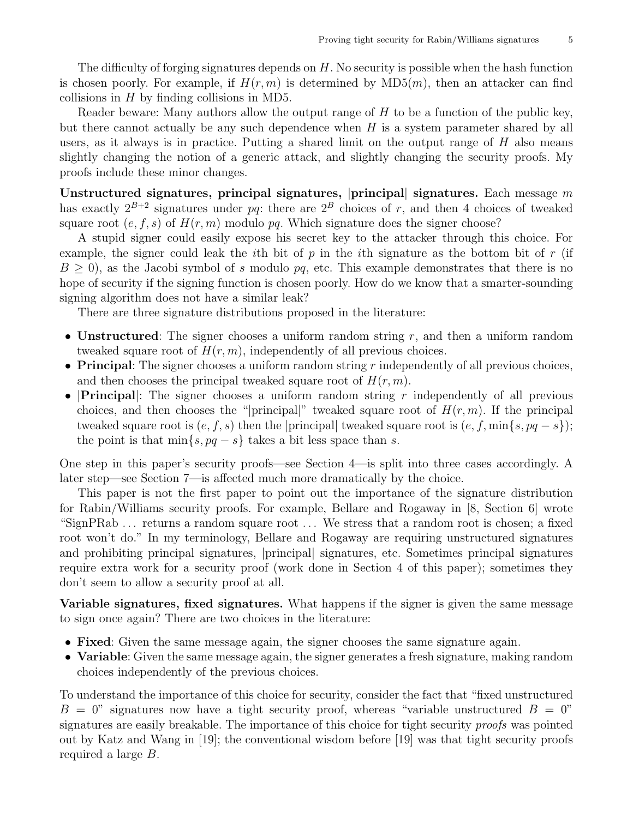The difficulty of forging signatures depends on H. No security is possible when the hash function is chosen poorly. For example, if  $H(r, m)$  is determined by  $MD5(m)$ , then an attacker can find collisions in  $H$  by finding collisions in MD5.

Reader beware: Many authors allow the output range of  $H$  to be a function of the public key, but there cannot actually be any such dependence when  $H$  is a system parameter shared by all users, as it always is in practice. Putting a shared limit on the output range of  $H$  also means slightly changing the notion of a generic attack, and slightly changing the security proofs. My proofs include these minor changes.

Unstructured signatures, principal signatures,  $|$ principal signatures. Each message m has exactly  $2^{B+2}$  signatures under pq: there are  $2^B$  choices of r, and then 4 choices of tweaked square root  $(e, f, s)$  of  $H(r, m)$  modulo pq. Which signature does the signer choose?

A stupid signer could easily expose his secret key to the attacker through this choice. For example, the signer could leak the *i*th bit of p in the *i*th signature as the bottom bit of r (if  $B \geq 0$ , as the Jacobi symbol of s modulo pq, etc. This example demonstrates that there is no hope of security if the signing function is chosen poorly. How do we know that a smarter-sounding signing algorithm does not have a similar leak?

There are three signature distributions proposed in the literature:

- Unstructured: The signer chooses a uniform random string  $r$ , and then a uniform random tweaked square root of  $H(r, m)$ , independently of all previous choices.
- Principal: The signer chooses a uniform random string  $r$  independently of all previous choices, and then chooses the principal tweaked square root of  $H(r, m)$ .
- **Principal**: The signer chooses a uniform random string r independently of all previous choices, and then chooses the "|principal|" tweaked square root of  $H(r, m)$ . If the principal tweaked square root is  $(e, f, s)$  then the |principal| tweaked square root is  $(e, f, \min\{s, pq - s\})$ ; the point is that  $\min\{s, pq - s\}$  takes a bit less space than s.

One step in this paper's security proofs—see Section 4—is split into three cases accordingly. A later step—see Section 7—is affected much more dramatically by the choice.

This paper is not the first paper to point out the importance of the signature distribution for Rabin/Williams security proofs. For example, Bellare and Rogaway in [8, Section 6] wrote "SignPRab . . . returns a random square root . . . We stress that a random root is chosen; a fixed root won't do." In my terminology, Bellare and Rogaway are requiring unstructured signatures and prohibiting principal signatures,  $|principal|$  signatures, etc. Sometimes principal signatures require extra work for a security proof (work done in Section 4 of this paper); sometimes they don't seem to allow a security proof at all.

Variable signatures, fixed signatures. What happens if the signer is given the same message to sign once again? There are two choices in the literature:

- Fixed: Given the same message again, the signer chooses the same signature again.
- Variable: Given the same message again, the signer generates a fresh signature, making random choices independently of the previous choices.

To understand the importance of this choice for security, consider the fact that "fixed unstructured  $B = 0$ " signatures now have a tight security proof, whereas "variable unstructured  $B = 0$ " signatures are easily breakable. The importance of this choice for tight security *proofs* was pointed out by Katz and Wang in [19]; the conventional wisdom before [19] was that tight security proofs required a large B.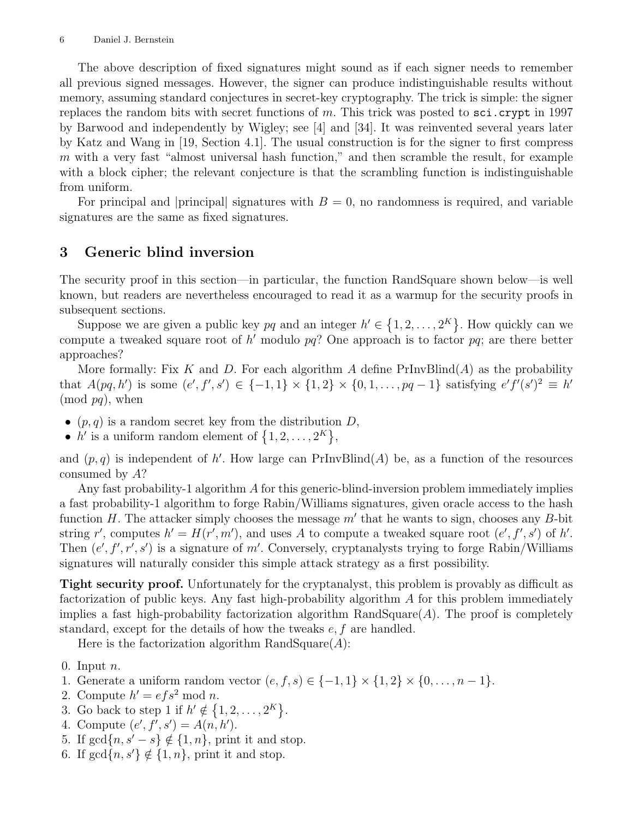The above description of fixed signatures might sound as if each signer needs to remember all previous signed messages. However, the signer can produce indistinguishable results without memory, assuming standard conjectures in secret-key cryptography. The trick is simple: the signer replaces the random bits with secret functions of m. This trick was posted to  $\texttt{sci.crypt}$  in 1997 by Barwood and independently by Wigley; see [4] and [34]. It was reinvented several years later by Katz and Wang in [19, Section 4.1]. The usual construction is for the signer to first compress  $m$  with a very fast "almost universal hash function," and then scramble the result, for example with a block cipher; the relevant conjecture is that the scrambling function is indistinguishable from uniform.

For principal and |principal| signatures with  $B = 0$ , no randomness is required, and variable signatures are the same as fixed signatures.

# 3 Generic blind inversion

The security proof in this section—in particular, the function RandSquare shown below—is well known, but readers are nevertheless encouraged to read it as a warmup for the security proofs in subsequent sections.

Suppose we are given a public key pq and an integer  $h' \in \{1, 2, ..., 2^{K}\}\.$  How quickly can we compute a tweaked square root of  $h'$  modulo  $pq$ ? One approach is to factor  $pq$ ; are there better approaches?

More formally: Fix K and D. For each algorithm A define  $PrInvBlind(A)$  as the probability that  $A(pq, h')$  is some  $(e', f', s') \in \{-1, 1\} \times \{1, 2\} \times \{0, 1, \ldots, pq-1\}$  satisfying  $e'f'(s')^2 \equiv h'$  $(mod pq)$ , when

- $(p, q)$  is a random secret key from the distribution D,
- h' is a uniform random element of  $\{1, 2, ..., 2^K\},\$

and  $(p, q)$  is independent of h'. How large can PrInvBlind(A) be, as a function of the resources consumed by A?

Any fast probability-1 algorithm  $\tilde{A}$  for this generic-blind-inversion problem immediately implies a fast probability-1 algorithm to forge Rabin/Williams signatures, given oracle access to the hash function  $H$ . The attacker simply chooses the message  $m'$  that he wants to sign, chooses any  $B$ -bit string r', computes  $h' = H(r', m')$ , and uses A to compute a tweaked square root  $(e', f', s')$  of h'. Then  $(e', f', r', s')$  is a signature of m'. Conversely, cryptanalysts trying to forge Rabin/Williams signatures will naturally consider this simple attack strategy as a first possibility.

Tight security proof. Unfortunately for the cryptanalyst, this problem is provably as difficult as factorization of public keys. Any fast high-probability algorithm A for this problem immediately implies a fast high-probability factorization algorithm  $\text{RandSquare}(A)$ . The proof is completely standard, except for the details of how the tweaks  $e, f$  are handled.

Here is the factorization algorithm RandSquare $(A)$ :

- 0. Input  $n$ .
- 1. Generate a uniform random vector  $(e, f, s) \in \{-1, 1\} \times \{1, 2\} \times \{0, \ldots, n-1\}.$
- 2. Compute  $h' = efs^2 \mod n$ .
- 3. Go back to step 1 if  $h' \notin \{1, 2, ..., 2^K\}.$
- 4. Compute  $(e', f', s') = A(n, h').$
- 5. If  $gcd{n, s'-s} \notin \{1, n\}$ , print it and stop.
- 6. If  $gcd{n, s'} \notin \{1, n\}$ , print it and stop.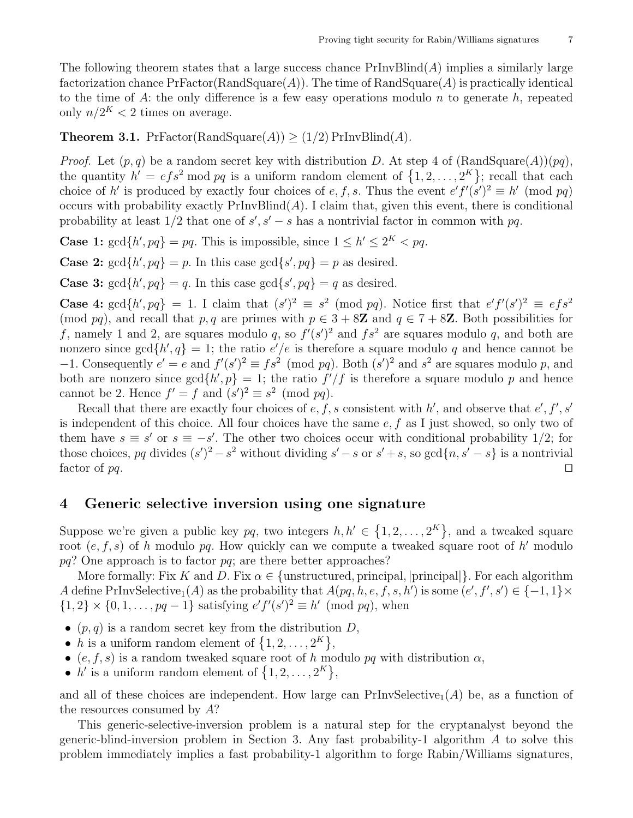The following theorem states that a large success chance  $PrInvBlind(A)$  implies a similarly large factorization chance  $PrFactor(RandSquare(A))$ . The time of  $RandSquare(A)$  is practically identical to the time of A: the only difference is a few easy operations modulo  $n$  to generate  $h$ , repeated only  $n/2<sup>K</sup> < 2$  times on average.

**Theorem 3.1.** PrFactor(RandSquare(A))  $\geq$  (1/2) PrInvBlind(A).

*Proof.* Let  $(p, q)$  be a random secret key with distribution D. At step 4 of  $(RandSquare(A))(pq)$ , the quantity  $h' = e f s^2 \mod pq$  is a uniform random element of  $\{1, 2, ..., 2^K\}$ ; recall that each choice of h' is produced by exactly four choices of e, f, s. Thus the event  $e'f'(\overline{s}')^2 \equiv h' \pmod{pq}$ occurs with probability exactly  $PrInvBlind(A)$ . I claim that, given this event, there is conditional probability at least  $1/2$  that one of  $s', s' - s$  has a nontrivial factor in common with  $pq$ .

**Case 1:**  $gcd\{h', pq\} = pq$ . This is impossible, since  $1 \leq h' \leq 2^K$  < pq.

**Case 2:**  $gcd\{h', pq\} = p$ . In this case  $gcd\{s', pq\} = p$  as desired.

**Case 3:**  $gcd\{h', pq\} = q$ . In this case  $gcd\{s', pq\} = q$  as desired.

**Case 4:**  $gcd\{h', pq\} = 1$ . I claim that  $(s')^2 \equiv s^2 \pmod{pq}$ . Notice first that  $e'f'(s')^2 \equiv efs^2$ (mod pq), and recall that p, q are primes with  $p \in 3 + 8\mathbb{Z}$  and  $q \in 7 + 8\mathbb{Z}$ . Both possibilities for f, namely 1 and 2, are squares modulo q, so  $f'(s')^2$  and  $fs^2$  are squares modulo q, and both are nonzero since  $gcd\{h', q\} = 1$ ; the ratio  $e'/e$  is therefore a square modulo q and hence cannot be -1. Consequently  $e' = e$  and  $f'(s')^2 \equiv fs^2 \pmod{pq}$ . Both  $(s')^2$  and  $s^2$  are squares modulo p, and both are nonzero since  $gcd\{h', p\} = 1$ ; the ratio  $f'/f$  is therefore a square modulo p and hence cannot be 2. Hence  $f' = f$  and  $(s')^2 \equiv s^2 \pmod{pq}$ .

Recall that there are exactly four choices of  $e, f, s$  consistent with h', and observe that  $e', f', s'$ is independent of this choice. All four choices have the same  $e, f$  as I just showed, so only two of them have  $s \equiv s'$  or  $s \equiv -s'$ . The other two choices occur with conditional probability 1/2; for those choices, pq divides  $(s')^2 - s^2$  without dividing  $s' - s$  or  $s' + s$ , so  $gcd\{n, s' - s\}$  is a nontrivial factor of  $pq$ .

#### 4 Generic selective inversion using one signature

Suppose we're given a public key pq, two integers  $h, h' \in \{1, 2, ..., 2^{K}\}\$ , and a tweaked square root  $(e, f, s)$  of h modulo pq. How quickly can we compute a tweaked square root of h' modulo  $pq$ ? One approach is to factor  $pq$ ; are there better approaches?

More formally: Fix K and D. Fix  $\alpha \in \{\text{unstructured}, \text{principal}, \text{principal}\}\.$  For each algorithm A define PrInvSelective<sub>1</sub>(A) as the probability that  $A(pq, h, e, f, s, h')$  is some  $(e', f', s') \in \{-1, 1\} \times$  $\{1,2\} \times \{0,1,\ldots,pq-1\}$  satisfying  $e'f'(s')^2 \equiv h' \pmod{pq}$ , when

- $(p, q)$  is a random secret key from the distribution D,
- h is a uniform random element of  $\{1, 2, ..., 2^K\},\$
- (e, f, s) is a random tweaked square root of h modulo pq with distribution  $\alpha$ ,
- h' is a uniform random element of  $\{1, 2, ..., 2^K\},\$

and all of these choices are independent. How large can  $PrInvSelective_1(A)$  be, as a function of the resources consumed by  $A$ ?

This generic-selective-inversion problem is a natural step for the cryptanalyst beyond the generic-blind-inversion problem in Section 3. Any fast probability-1 algorithm  $\Lambda$  to solve this problem immediately implies a fast probability-1 algorithm to forge Rabin/Williams signatures,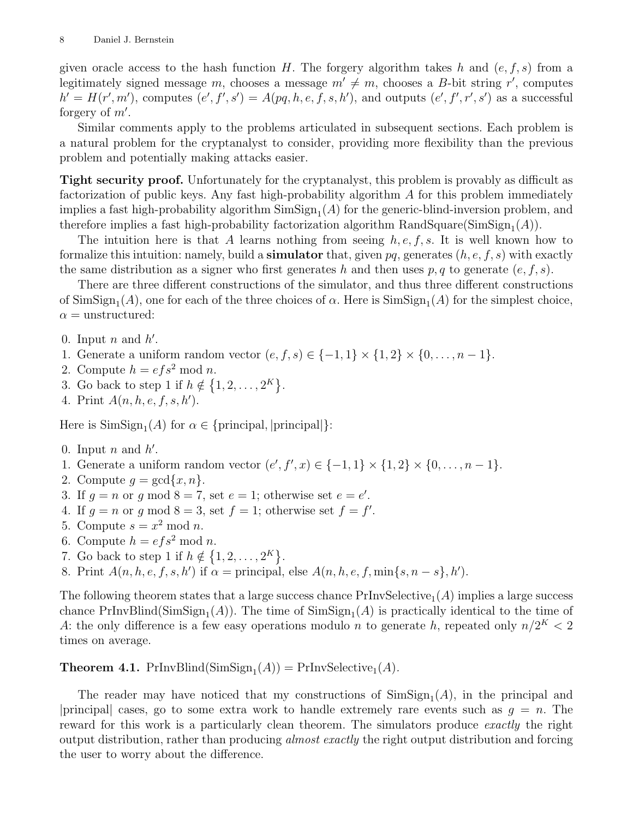given oracle access to the hash function H. The forgery algorithm takes h and  $(e, f, s)$  from a legitimately signed message m, chooses a message  $m' \neq m$ , chooses a B-bit string r', computes  $h' = H(r', m')$ , computes  $(e', f', s') = A(pq, h, e, f, s, h')$ , and outputs  $(e', f', r', s')$  as a successful forgery of  $m'$ .

Similar comments apply to the problems articulated in subsequent sections. Each problem is a natural problem for the cryptanalyst to consider, providing more flexibility than the previous problem and potentially making attacks easier.

Tight security proof. Unfortunately for the cryptanalyst, this problem is provably as difficult as factorization of public keys. Any fast high-probability algorithm A for this problem immediately implies a fast high-probability algorithm  $\text{SimSign}_1(A)$  for the generic-blind-inversion problem, and therefore implies a fast high-probability factorization algorithm  $\text{RandSquare}(\text{SimSign}_1(A)).$ 

The intuition here is that A learns nothing from seeing  $h, e, f, s$ . It is well known how to formalize this intuition: namely, build a **simulator** that, given  $pq$ , generates  $(h, e, f, s)$  with exactly the same distribution as a signer who first generates h and then uses p, q to generate  $(e, f, s)$ .

There are three different constructions of the simulator, and thus three different constructions of  $\text{SimSign}_1(A)$ , one for each of the three choices of  $\alpha$ . Here is  $\text{SimSign}_1(A)$  for the simplest choice,  $\alpha$  = unstructured:

- 0. Input  $n$  and  $h'$ .
- 1. Generate a uniform random vector  $(e, f, s) \in \{-1, 1\} \times \{1, 2\} \times \{0, \ldots, n-1\}.$
- 2. Compute  $h = efs^2 \mod n$ .
- 3. Go back to step 1 if  $h \notin \{1, 2, \ldots, 2^K\}.$
- 4. Print  $A(n, h, e, f, s, h')$ .

Here is  $\text{SimSign}_1(A)$  for  $\alpha \in \{\text{principal}, |\text{principal}|\}.$ 

- 0. Input  $n$  and  $h'$ .
- 1. Generate a uniform random vector  $(e', f', x) \in \{-1, 1\} \times \{1, 2\} \times \{0, ..., n-1\}.$
- 2. Compute  $g = \gcd\{x, n\}.$
- 3. If  $g = n$  or g mod  $8 = 7$ , set  $e = 1$ ; otherwise set  $e = e'$ .
- 4. If  $g = n$  or g mod  $8 = 3$ , set  $f = 1$ ; otherwise set  $f = f'$ .
- 5. Compute  $s = x^2 \mod n$ .
- 6. Compute  $h = efs^2 \mod n$ .
- 7. Go back to step 1 if  $h \notin \{1, 2, ..., 2^K\}.$
- 8. Print  $A(n, h, e, f, s, h')$  if  $\alpha =$  principal, else  $A(n, h, e, f, \min\{s, n s\}, h')$ .

The following theorem states that a large success chance  $PrInvSelective_1(A)$  implies a large success chance  $PrInvBlind(SimSign<sub>1</sub>(A))$ . The time of  $SimSign<sub>1</sub>(A)$  is practically identical to the time of A: the only difference is a few easy operations modulo n to generate h, repeated only  $n/2<sup>K</sup> < 2$ times on average.

**Theorem 4.1.** PrInvBlind( $\text{SimSign}_1(A)$ ) = PrInvSelective<sub>1</sub> $(A)$ .

The reader may have noticed that my constructions of  $\text{SimSign}_1(A)$ , in the principal and |principal| cases, go to some extra work to handle extremely rare events such as  $q = n$ . The reward for this work is a particularly clean theorem. The simulators produce exactly the right output distribution, rather than producing *almost exactly* the right output distribution and forcing the user to worry about the difference.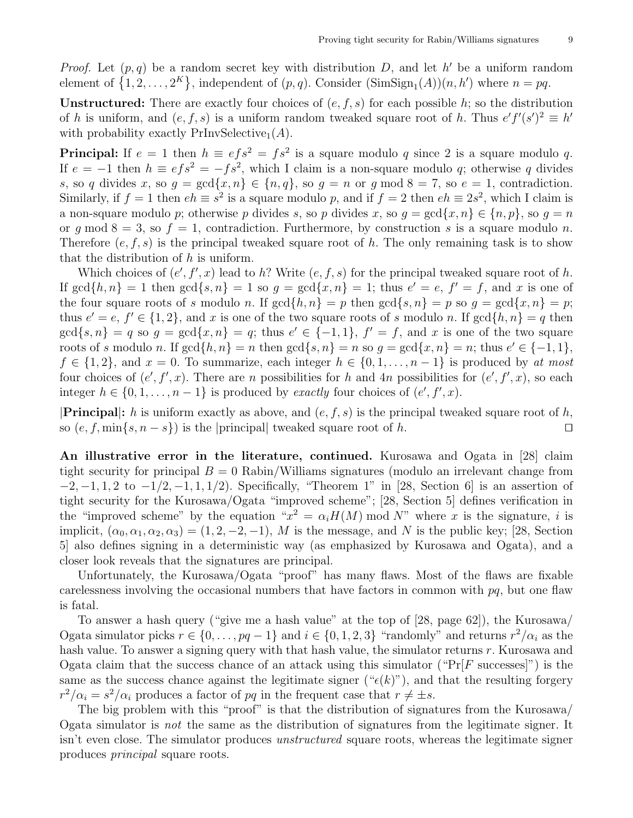*Proof.* Let  $(p, q)$  be a random secret key with distribution D, and let h' be a uniform random element of  $\{1, 2, ..., 2^K\}$ , independent of  $(p, q)$ . Consider  $(\text{SimSign}_1(A))(n, h')$  where  $n = pq$ .

**Unstructured:** There are exactly four choices of  $(e, f, s)$  for each possible h; so the distribution of h is uniform, and  $(e, f, s)$  is a uniform random tweaked square root of h. Thus  $e'f'(s')^2 \equiv h'$ with probability exactly  $PrInvSelective_1(A)$ .

**Principal:** If  $e = 1$  then  $h \equiv e f s^2 = f s^2$  is a square modulo q since 2 is a square modulo q. If  $e = -1$  then  $h \equiv e f s^2 = -f s^2$ , which I claim is a non-square modulo q; otherwise q divides s, so q divides x, so  $g = \gcd\{x, n\} \in \{n, q\}$ , so  $g = n$  or  $g \mod 8 = 7$ , so  $e = 1$ , contradiction. Similarly, if  $f = 1$  then  $eh \equiv s^2$  is a square modulo p, and if  $f = 2$  then  $eh \equiv 2s^2$ , which I claim is a non-square modulo p; otherwise p divides s, so p divides x, so  $q = \gcd\{x, n\} \in \{n, p\}$ , so  $q = n$ or q mod  $8 = 3$ , so  $f = 1$ , contradiction. Furthermore, by construction s is a square modulo n. Therefore  $(e, f, s)$  is the principal tweaked square root of h. The only remaining task is to show that the distribution of  $h$  is uniform.

Which choices of  $(e', f', x)$  lead to h? Write  $(e, f, s)$  for the principal tweaked square root of h. If  $\gcd\{h,n\} = 1$  then  $\gcd\{s,n\} = 1$  so  $g = \gcd\{x,n\} = 1$ ; thus  $e' = e$ ,  $f' = f$ , and x is one of the four square roots of s modulo n. If  $gcd\{h, n\} = p$  then  $gcd\{s, n\} = p$  so  $q = gcd\{x, n\} = p$ ; thus  $e' = e, f' \in \{1, 2\}$ , and x is one of the two square roots of s modulo n. If  $gcd\{h, n\} = q$  then  $gcd\{s, n\} = q$  so  $g = gcd\{x, n\} = q$ ; thus  $e' \in \{-1, 1\}$ ,  $f' = f$ , and x is one of the two square roots of s modulo n. If  $gcd\{h, n\} = n$  then  $gcd\{s, n\} = n$  so  $g = gcd\{x, n\} = n$ ; thus  $e' \in \{-1, 1\}$ ,  $f \in \{1,2\}$ , and  $x = 0$ . To summarize, each integer  $h \in \{0,1,\ldots,n-1\}$  is produced by at most four choices of  $(e', f', x)$ . There are n possibilities for h and 4n possibilities for  $(e', f', x)$ , so each integer  $h \in \{0, 1, \ldots, n-1\}$  is produced by exactly four choices of  $(e', f', x)$ .

**Principal:** h is uniform exactly as above, and  $(e, f, s)$  is the principal tweaked square root of h, so  $(e, f, \min\{s, n - s\})$  is the |principal| tweaked square root of h.

An illustrative error in the literature, continued. Kurosawa and Ogata in [28] claim tight security for principal  $B = 0$  Rabin/Williams signatures (modulo an irrelevant change from  $-2, -1, 1, 2$  to  $-1/2, -1, 1, 1/2$ ). Specifically, "Theorem 1" in [28, Section 6] is an assertion of tight security for the Kurosawa/Ogata "improved scheme"; [28, Section 5] defines verification in the "improved scheme" by the equation " $x^2 = \alpha_i H(M)$  mod N" where x is the signature, i is implicit,  $(\alpha_0, \alpha_1, \alpha_2, \alpha_3) = (1, 2, -2, -1)$ , M is the message, and N is the public key; [28, Section 5] also defines signing in a deterministic way (as emphasized by Kurosawa and Ogata), and a closer look reveals that the signatures are principal.

Unfortunately, the Kurosawa/Ogata "proof" has many flaws. Most of the flaws are fixable carelessness involving the occasional numbers that have factors in common with  $pq$ , but one flaw is fatal.

To answer a hash query ("give me a hash value" at the top of [28, page 62]), the Kurosawa/ Ogata simulator picks  $r \in \{0, \ldots, pq-1\}$  and  $i \in \{0, 1, 2, 3\}$  "randomly" and returns  $r^2/\alpha_i$  as the hash value. To answer a signing query with that hash value, the simulator returns r. Kurosawa and Ogata claim that the success chance of an attack using this simulator (" $Pr[F$  successes]") is the same as the success chance against the legitimate signer (" $\epsilon(k)$ "), and that the resulting forgery  $r^2/\alpha_i = s^2/\alpha_i$  produces a factor of pq in the frequent case that  $r \neq \pm s$ .

The big problem with this "proof" is that the distribution of signatures from the Kurosawa/ Ogata simulator is not the same as the distribution of signatures from the legitimate signer. It isn't even close. The simulator produces unstructured square roots, whereas the legitimate signer produces principal square roots.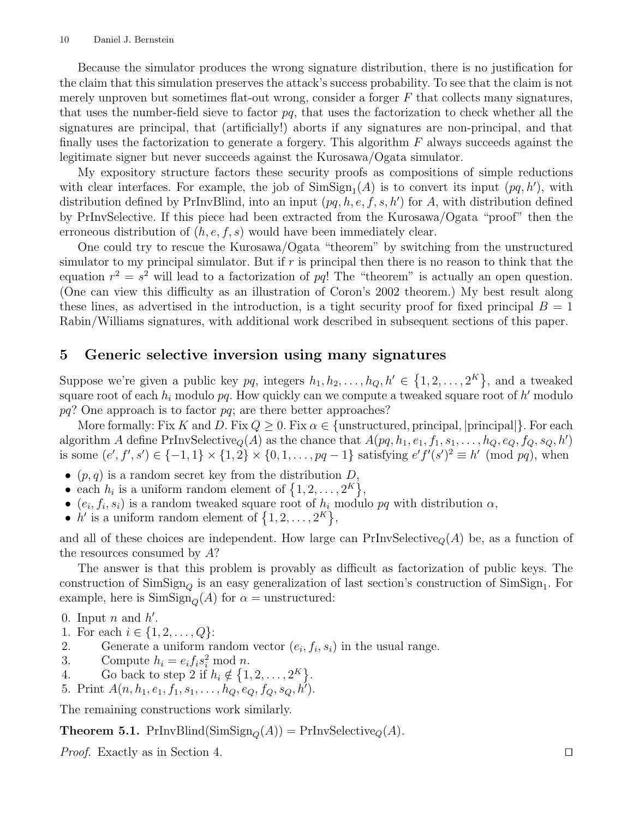Because the simulator produces the wrong signature distribution, there is no justification for the claim that this simulation preserves the attack's success probability. To see that the claim is not merely unproven but sometimes flat-out wrong, consider a forger  $F$  that collects many signatures, that uses the number-field sieve to factor  $pq$ , that uses the factorization to check whether all the signatures are principal, that (artificially!) aborts if any signatures are non-principal, and that finally uses the factorization to generate a forgery. This algorithm  $F$  always succeeds against the legitimate signer but never succeeds against the Kurosawa/Ogata simulator.

My expository structure factors these security proofs as compositions of simple reductions with clear interfaces. For example, the job of  $\text{SimSign}_1(A)$  is to convert its input  $(pq, h')$ , with distribution defined by PrInvBlind, into an input  $(pq, h, e, f, s, h')$  for A, with distribution defined by PrInvSelective. If this piece had been extracted from the Kurosawa/Ogata "proof" then the erroneous distribution of  $(h, e, f, s)$  would have been immediately clear.

One could try to rescue the Kurosawa/Ogata "theorem" by switching from the unstructured simulator to my principal simulator. But if  $r$  is principal then there is no reason to think that the equation  $r^2 = s^2$  will lead to a factorization of pq! The "theorem" is actually an open question. (One can view this difficulty as an illustration of Coron's 2002 theorem.) My best result along these lines, as advertised in the introduction, is a tight security proof for fixed principal  $B = 1$ Rabin/Williams signatures, with additional work described in subsequent sections of this paper.

#### 5 Generic selective inversion using many signatures

Suppose we're given a public key  $pq$ , integers  $h_1, h_2, \ldots, h_Q, h' \in \{1, 2, \ldots, 2^K\}$ , and a tweaked square root of each  $h_i$  modulo  $pq$ . How quickly can we compute a tweaked square root of  $h'$  modulo  $pq$ ? One approach is to factor  $pq$ ; are there better approaches?

More formally: Fix K and D. Fix  $Q \geq 0$ . Fix  $\alpha \in \{\text{unstructured}, \text{principal}, \text{principal}\}\.$  For each algorithm A define PrInvSelective<sub>Q</sub>(A) as the chance that  $A(pq, h_1, e_1, f_1, s_1, \ldots, h_Q, e_Q, f_Q, s_Q, h')$ is some  $(e', f', s') \in \{-1, 1\} \times \{1, 2\} \times \{0, 1, \ldots, pq - 1\}$  satisfying  $e' f'(s')^2 \equiv h' \pmod{pq}$ , when

- $(p, q)$  is a random secret key from the distribution D,
- each  $h_i$  is a uniform random element of  $\{1, 2, ..., 2^K\},\$
- $(e_i, f_i, s_i)$  is a random tweaked square root of  $h_i$  modulo pq with distribution  $\alpha$ ,
- h' is a uniform random element of  $\{1, 2, ..., 2^K\},\$

and all of these choices are independent. How large can PrInvSelective<sub>Q</sub>(A) be, as a function of the resources consumed by A?

The answer is that this problem is provably as difficult as factorization of public keys. The construction of  $\text{SimSign}_Q$  is an easy generalization of last section's construction of  $\text{SimSign}_1$ . For example, here is  $\text{SimSign}_{\mathcal{O}}(A)$  for  $\alpha =$  unstructured:

- 0. Input  $n$  and  $h'$ .
- 1. For each  $i \in \{1, 2, ..., Q\}$ :
- 2. Generate a uniform random vector  $(e_i, f_i, s_i)$  in the usual range.
- 3. Compute  $h_i = e_i f_i s_i^2 \text{ mod } n$ .
- 4. Go back to step 2 if  $h_i \notin \{1, 2, ..., 2^K\}.$
- 5. Print  $A(n, h_1, e_1, f_1, s_1, \ldots, h_Q, e_Q, f_Q, s_Q, h')$ .

The remaining constructions work similarly.

**Theorem 5.1.** PrInvBlind(SimSign<sub>Q</sub>(A)) = PrInvSelective<sub>Q</sub>(A).

*Proof.* Exactly as in Section 4.  $\Box$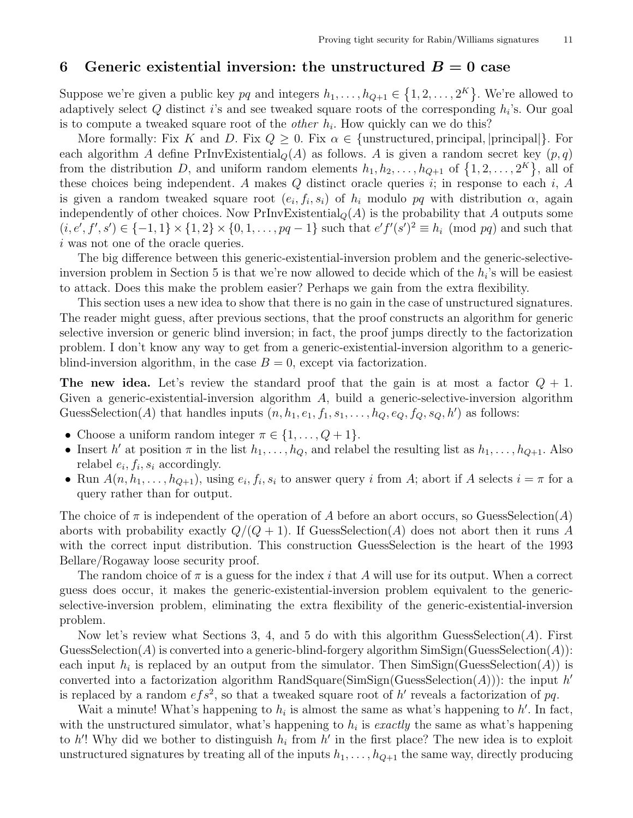#### 6 Generic existential inversion: the unstructured  $B=0$  case

Suppose we're given a public key pq and integers  $h_1, \ldots, h_{Q+1} \in \{1, 2, \ldots, 2^K\}$ . We're allowed to adaptively select  $Q$  distinct *i*'s and see tweaked square roots of the corresponding  $h_i$ 's. Our goal is to compute a tweaked square root of the *other*  $h_i$ . How quickly can we do this?

More formally: Fix K and D. Fix  $Q \geq 0$ . Fix  $\alpha \in \{\text{unstructured}, \text{principal}, \text{principal}\}\$ . For each algorithm A define PrInvExistential<sub>Q</sub>(A) as follows. A is given a random secret key  $(p, q)$ from the distribution D, and uniform random elements  $h_1, h_2, \ldots, h_{Q+1}$  of  $\{1, 2, \ldots, 2^K\}$ , all of these choices being independent. A makes  $Q$  distinct oracle queries  $i$ ; in response to each  $i$ ,  $A$ is given a random tweaked square root  $(e_i, f_i, s_i)$  of  $h_i$  modulo pq with distribution  $\alpha$ , again independently of other choices. Now  $PrInvExistential_Q(A)$  is the probability that A outputs some  $(i, e', f', s') \in \{-1, 1\} \times \{1, 2\} \times \{0, 1, \ldots, pq - 1\}$  such that  $e' f'(s')^2 \equiv h_i \pmod{pq}$  and such that i was not one of the oracle queries.

The big difference between this generic-existential-inversion problem and the generic-selectiveinversion problem in Section 5 is that we're now allowed to decide which of the  $h_i$ 's will be easiest to attack. Does this make the problem easier? Perhaps we gain from the extra flexibility.

This section uses a new idea to show that there is no gain in the case of unstructured signatures. The reader might guess, after previous sections, that the proof constructs an algorithm for generic selective inversion or generic blind inversion; in fact, the proof jumps directly to the factorization problem. I don't know any way to get from a generic-existential-inversion algorithm to a genericblind-inversion algorithm, in the case  $B = 0$ , except via factorization.

The new idea. Let's review the standard proof that the gain is at most a factor  $Q + 1$ . Given a generic-existential-inversion algorithm  $A$ , build a generic-selective-inversion algorithm GuessSelection(A) that handles inputs  $(n, h_1, e_1, f_1, s_1, \ldots, h_Q, e_Q, f_Q, s_Q, h')$  as follows:

- Choose a uniform random integer  $\pi \in \{1, \ldots, Q+1\}.$
- Insert h' at position  $\pi$  in the list  $h_1, \ldots, h_Q$ , and relabel the resulting list as  $h_1, \ldots, h_{Q+1}$ . Also relabel  $e_i, f_i, s_i$  accordingly.
- Run  $A(n, h_1, \ldots, h_{Q+1})$ , using  $e_i, f_i, s_i$  to answer query i from A; abort if A selects  $i = \pi$  for a query rather than for output.

The choice of  $\pi$  is independent of the operation of A before an abort occurs, so GuessSelection(A) aborts with probability exactly  $Q/(Q+1)$ . If GuessSelection(A) does not abort then it runs A with the correct input distribution. This construction GuessSelection is the heart of the 1993 Bellare/Rogaway loose security proof.

The random choice of  $\pi$  is a guess for the index i that A will use for its output. When a correct guess does occur, it makes the generic-existential-inversion problem equivalent to the genericselective-inversion problem, eliminating the extra flexibility of the generic-existential-inversion problem.

Now let's review what Sections 3, 4, and 5 do with this algorithm GuessSelection( $A$ ). First GuessSelection(A) is converted into a generic-blind-forgery algorithm  $\text{SimSign}(\text{GussSelection}(A))$ : each input  $h_i$  is replaced by an output from the simulator. Then  $\text{SimSign}(\text{Gaussian}(A))$  is converted into a factorization algorithm RandSquare(SimSign(GuessSelection(A))): the input  $h'$ is replaced by a random  $efs^2$ , so that a tweaked square root of h' reveals a factorization of pq.

Wait a minute! What's happening to  $h_i$  is almost the same as what's happening to  $h'$ . In fact, with the unstructured simulator, what's happening to  $h_i$  is *exactly* the same as what's happening to h'! Why did we bother to distinguish  $h_i$  from h' in the first place? The new idea is to exploit unstructured signatures by treating all of the inputs  $h_1, \ldots, h_{Q+1}$  the same way, directly producing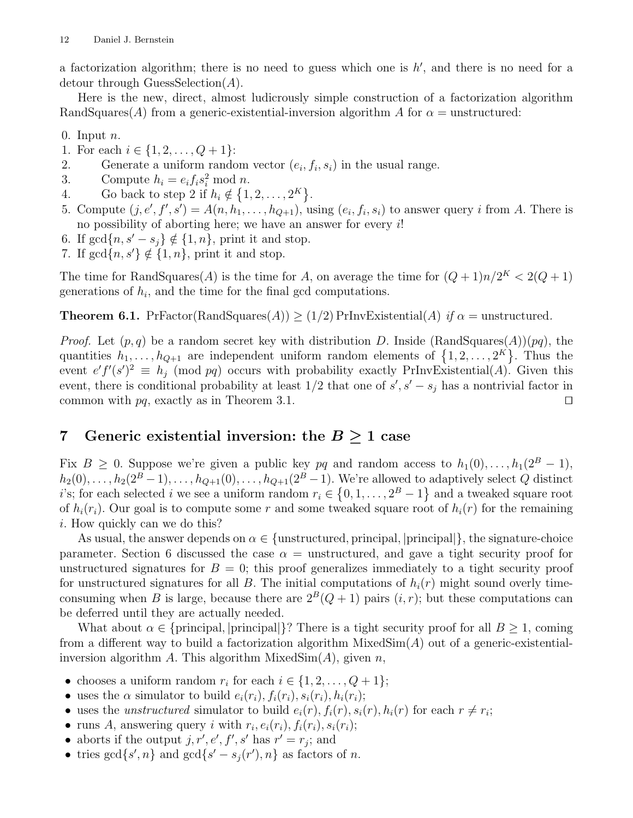a factorization algorithm; there is no need to guess which one is  $h'$ , and there is no need for a detour through GuessSelection $(A)$ .

Here is the new, direct, almost ludicrously simple construction of a factorization algorithm RandSquares(A) from a generic-existential-inversion algorithm A for  $\alpha$  = unstructured:

0. Input  $n$ .

- 1. For each  $i \in \{1, 2, \ldots, Q+1\}$ :
- 2. Generate a uniform random vector  $(e_i, f_i, s_i)$  in the usual range.
- 3. Compute  $h_i = e_i f_i s_i^2 \text{ mod } n$ .
- 4. Go back to step 2 if  $h_i \notin \{1, 2, ..., 2^K\}.$
- 5. Compute  $(j, e', f', s') = A(n, h_1, \ldots, h_{Q+1}),$  using  $(e_i, f_i, s_i)$  to answer query i from A. There is no possibility of aborting here; we have an answer for every  $i!$
- 6. If  $gcd\{n, s'-s_i\} \notin \{1, n\}$ , print it and stop.
- 7. If  $gcd{n, s'} \notin \{1, n\}$ , print it and stop.

The time for RandSquares(A) is the time for A, on average the time for  $(Q+1)n/2<sup>K</sup> < 2(Q+1)$ generations of  $h_i$ , and the time for the final gcd computations.

**Theorem 6.1.** PrFactor(RandSquares(A))  $\geq$  (1/2) PrInvExistential(A) if  $\alpha$  = unstructured.

*Proof.* Let  $(p, q)$  be a random secret key with distribution D. Inside (RandSquares(A))(pq), the quantities  $h_1, \ldots, h_{Q+1}$  are independent uniform random elements of  $\{1, 2, \ldots, 2^K\}$ . Thus the event  $e' f'(s')^2 \equiv h_j \pmod{pq}$  occurs with probability exactly PrInvExistential(A). Given this event, there is conditional probability at least  $1/2$  that one of  $s', s' - s_j$  has a nontrivial factor in common with  $pq$ , exactly as in Theorem 3.1.  $\square$ 

# 7 Generic existential inversion: the  $B \geq 1$  case

Fix  $B \geq 0$ . Suppose we're given a public key pq and random access to  $h_1(0), \ldots, h_1(2^B-1)$ ,  $h_2(0), \ldots, h_2(2^B-1), \ldots, h_{Q+1}(0), \ldots, h_{Q+1}(2^B-1)$ . We're allowed to adaptively select Q distinct *i*'s; for each selected *i* we see a uniform random  $r_i \in \{0, 1, ..., 2^B - 1\}$  and a tweaked square root of  $h_i(r_i)$ . Our goal is to compute some r and some tweaked square root of  $h_i(r)$  for the remaining i. How quickly can we do this?

As usual, the answer depends on  $\alpha \in \{\text{unstructured}, \text{principal}\}\$ , the signature-choice parameter. Section 6 discussed the case  $\alpha$  = unstructured, and gave a tight security proof for unstructured signatures for  $B = 0$ ; this proof generalizes immediately to a tight security proof for unstructured signatures for all B. The initial computations of  $h_i(r)$  might sound overly timeconsuming when B is large, because there are  $2^{B}(Q + 1)$  pairs  $(i, r)$ ; but these computations can be deferred until they are actually needed.

What about  $\alpha \in \{\text{principal}\}\$ ? There is a tight security proof for all  $B \geq 1$ , coming from a different way to build a factorization algorithm  $MixedSim(A)$  out of a generic-existentialinversion algorithm A. This algorithm  $MixedSim(A)$ , given n,

- chooses a uniform random  $r_i$  for each  $i \in \{1, 2, ..., Q + 1\}$ ;
- uses the  $\alpha$  simulator to build  $e_i(r_i)$ ,  $f_i(r_i)$ ,  $s_i(r_i)$ ,  $h_i(r_i)$ ;
- uses the *unstructured* simulator to build  $e_i(r)$ ,  $f_i(r)$ ,  $s_i(r)$ ,  $h_i(r)$  for each  $r \neq r_i$ ;
- runs A, answering query i with  $r_i, e_i(r_i), f_i(r_i), s_i(r_i)$ ;
- aborts if the output  $j, r', e', f', s'$  has  $r' = r_j$ ; and
- tries  $gcd{s', n}$  and  $gcd{s' s_j(r'), n}$  as factors of *n*.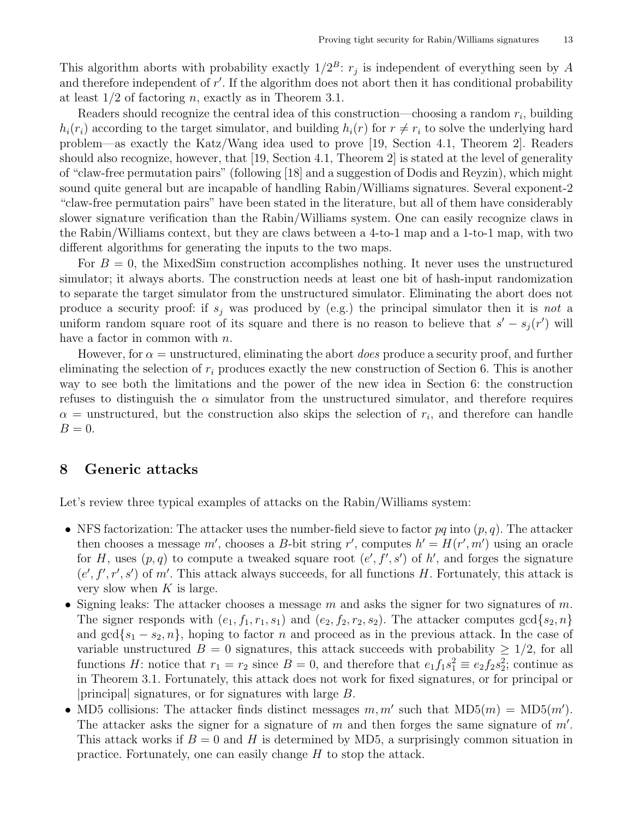This algorithm aborts with probability exactly  $1/2^B$ :  $r_j$  is independent of everything seen by A and therefore independent of  $r'$ . If the algorithm does not abort then it has conditional probability at least  $1/2$  of factoring n, exactly as in Theorem 3.1.

Readers should recognize the central idea of this construction—choosing a random  $r_i$ , building  $h_i(r_i)$  according to the target simulator, and building  $h_i(r)$  for  $r \neq r_i$  to solve the underlying hard problem—as exactly the Katz/Wang idea used to prove [19, Section 4.1, Theorem 2]. Readers should also recognize, however, that [19, Section 4.1, Theorem 2] is stated at the level of generality of "claw-free permutation pairs" (following [18] and a suggestion of Dodis and Reyzin), which might sound quite general but are incapable of handling Rabin/Williams signatures. Several exponent-2 "claw-free permutation pairs" have been stated in the literature, but all of them have considerably slower signature verification than the Rabin/Williams system. One can easily recognize claws in the Rabin/Williams context, but they are claws between a 4-to-1 map and a 1-to-1 map, with two different algorithms for generating the inputs to the two maps.

For  $B = 0$ , the MixedSim construction accomplishes nothing. It never uses the unstructured simulator; it always aborts. The construction needs at least one bit of hash-input randomization to separate the target simulator from the unstructured simulator. Eliminating the abort does not produce a security proof: if  $s_j$  was produced by (e.g.) the principal simulator then it is not a uniform random square root of its square and there is no reason to believe that  $s' - s_j(r')$  will have a factor in common with  $n$ .

However, for  $\alpha$  = unstructured, eliminating the abort *does* produce a security proof, and further eliminating the selection of  $r_i$  produces exactly the new construction of Section 6. This is another way to see both the limitations and the power of the new idea in Section 6: the construction refuses to distinguish the  $\alpha$  simulator from the unstructured simulator, and therefore requires  $\alpha$  = unstructured, but the construction also skips the selection of  $r_i$ , and therefore can handle  $B=0.$ 

#### 8 Generic attacks

Let's review three typical examples of attacks on the Rabin/Williams system:

- NFS factorization: The attacker uses the number-field sieve to factor  $pq$  into  $(p, q)$ . The attacker then chooses a message m', chooses a B-bit string r', computes  $h' = H(r', m')$  using an oracle for H, uses  $(p, q)$  to compute a tweaked square root  $(e', f', s')$  of h', and forges the signature  $(e', f', r', s')$  of m'. This attack always succeeds, for all functions H. Fortunately, this attack is very slow when  $K$  is large.
- Signing leaks: The attacker chooses a message m and asks the signer for two signatures of m. The signer responds with  $(e_1, f_1, r_1, s_1)$  and  $(e_2, f_2, r_2, s_2)$ . The attacker computes  $gcd\{s_2, n\}$ and  $gcd{s_1 - s_2, n}$ , hoping to factor n and proceed as in the previous attack. In the case of variable unstructured  $B = 0$  signatures, this attack succeeds with probability  $\geq 1/2$ , for all functions H: notice that  $r_1 = r_2$  since  $B = 0$ , and therefore that  $e_1 f_1 s_1^2 \equiv e_2 f_2 s_2^2$ ; continue as in Theorem 3.1. Fortunately, this attack does not work for fixed signatures, or for principal or |principal| signatures, or for signatures with large B.
- MD5 collisions: The attacker finds distinct messages  $m, m'$  such that  $MD5(m) = MD5(m')$ . The attacker asks the signer for a signature of  $m$  and then forges the same signature of  $m'$ . This attack works if  $B = 0$  and H is determined by MD5, a surprisingly common situation in practice. Fortunately, one can easily change H to stop the attack.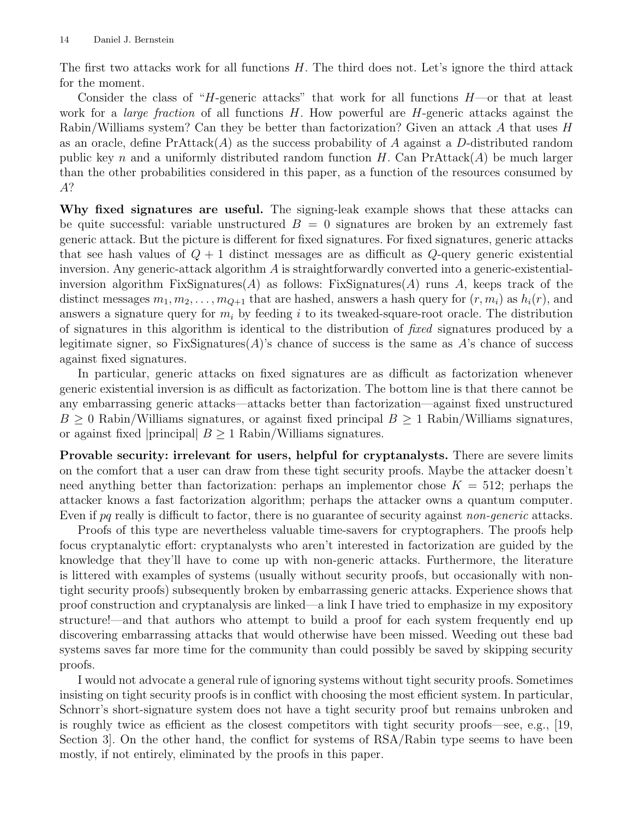The first two attacks work for all functions  $H$ . The third does not. Let's ignore the third attack for the moment.

Consider the class of "H-generic attacks" that work for all functions  $H$ —or that at least work for a *large fraction* of all functions  $H$ . How powerful are  $H$ -generic attacks against the Rabin/Williams system? Can they be better than factorization? Given an attack A that uses H as an oracle, define  $PrAttrack(A)$  as the success probability of A against a D-distributed random public key n and a uniformly distributed random function  $H$ . Can PrAttack $(A)$  be much larger than the other probabilities considered in this paper, as a function of the resources consumed by A?

Why fixed signatures are useful. The signing-leak example shows that these attacks can be quite successful: variable unstructured  $B = 0$  signatures are broken by an extremely fast generic attack. But the picture is different for fixed signatures. For fixed signatures, generic attacks that see hash values of  $Q + 1$  distinct messages are as difficult as  $Q$ -query generic existential inversion. Any generic-attack algorithm  $A$  is straightforwardly converted into a generic-existentialinversion algorithm FixSignatures(A) as follows: FixSignatures(A) runs A, keeps track of the distinct messages  $m_1, m_2, \ldots, m_{Q+1}$  that are hashed, answers a hash query for  $(r, m_i)$  as  $h_i(r)$ , and answers a signature query for  $m_i$  by feeding i to its tweaked-square-root oracle. The distribution of signatures in this algorithm is identical to the distribution of fixed signatures produced by a legitimate signer, so FixSignatures $(A)$ 's chance of success is the same as A's chance of success against fixed signatures.

In particular, generic attacks on fixed signatures are as difficult as factorization whenever generic existential inversion is as difficult as factorization. The bottom line is that there cannot be any embarrassing generic attacks—attacks better than factorization—against fixed unstructured  $B \geq 0$  Rabin/Williams signatures, or against fixed principal  $B \geq 1$  Rabin/Williams signatures, or against fixed |principal|  $B \geq 1$  Rabin/Williams signatures.

Provable security: irrelevant for users, helpful for cryptanalysts. There are severe limits on the comfort that a user can draw from these tight security proofs. Maybe the attacker doesn't need anything better than factorization: perhaps an implementor chose  $K = 512$ ; perhaps the attacker knows a fast factorization algorithm; perhaps the attacker owns a quantum computer. Even if pq really is difficult to factor, there is no guarantee of security against *non-generic* attacks.

Proofs of this type are nevertheless valuable time-savers for cryptographers. The proofs help focus cryptanalytic effort: cryptanalysts who aren't interested in factorization are guided by the knowledge that they'll have to come up with non-generic attacks. Furthermore, the literature is littered with examples of systems (usually without security proofs, but occasionally with nontight security proofs) subsequently broken by embarrassing generic attacks. Experience shows that proof construction and cryptanalysis are linked—a link I have tried to emphasize in my expository structure!—and that authors who attempt to build a proof for each system frequently end up discovering embarrassing attacks that would otherwise have been missed. Weeding out these bad systems saves far more time for the community than could possibly be saved by skipping security proofs.

I would not advocate a general rule of ignoring systems without tight security proofs. Sometimes insisting on tight security proofs is in conflict with choosing the most efficient system. In particular, Schnorr's short-signature system does not have a tight security proof but remains unbroken and is roughly twice as efficient as the closest competitors with tight security proofs—see, e.g., [19, Section 3]. On the other hand, the conflict for systems of RSA/Rabin type seems to have been mostly, if not entirely, eliminated by the proofs in this paper.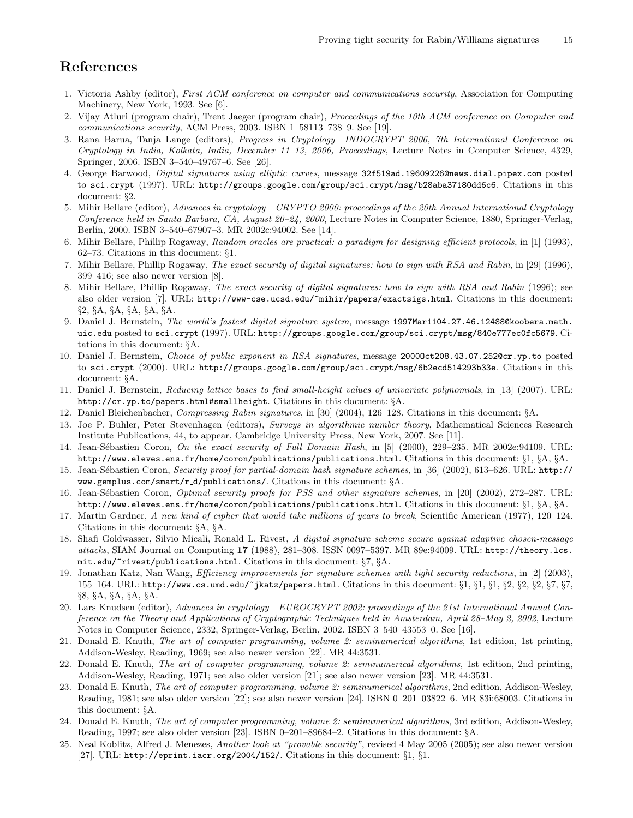# References

- 1. Victoria Ashby (editor), First ACM conference on computer and communications security, Association for Computing Machinery, New York, 1993. See [6].
- 2. Vijay Atluri (program chair), Trent Jaeger (program chair), Proceedings of the 10th ACM conference on Computer and communications security, ACM Press, 2003. ISBN 1–58113–738–9. See [19].
- 3. Rana Barua, Tanja Lange (editors), Progress in Cryptology—INDOCRYPT 2006, 7th International Conference on Cryptology in India, Kolkata, India, December 11–13, 2006, Proceedings, Lecture Notes in Computer Science, 4329, Springer, 2006. ISBN 3–540–49767–6. See [26].
- 4. George Barwood, Digital signatures using elliptic curves, message 32f519ad.19609226@news.dial.pipex.com posted to sci.crypt (1997). URL: http://groups.google.com/group/sci.crypt/msg/b28aba37180dd6c6. Citations in this document: §2.
- 5. Mihir Bellare (editor), Advances in cryptology—CRYPTO 2000: proceedings of the 20th Annual International Cryptology Conference held in Santa Barbara, CA, August 20–24, 2000, Lecture Notes in Computer Science, 1880, Springer-Verlag, Berlin, 2000. ISBN 3–540–67907–3. MR 2002c:94002. See [14].
- 6. Mihir Bellare, Phillip Rogaway, Random oracles are practical: a paradigm for designing efficient protocols, in [1] (1993), 62–73. Citations in this document: §1.
- 7. Mihir Bellare, Phillip Rogaway, The exact security of digital signatures: how to sign with RSA and Rabin, in [29] (1996), 399–416; see also newer version [8].
- 8. Mihir Bellare, Phillip Rogaway, The exact security of digital signatures: how to sign with RSA and Rabin (1996); see also older version [7]. URL: http://www-cse.ucsd.edu/~mihir/papers/exactsigs.html. Citations in this document: §2, §A, §A, §A, §A, §A.
- 9. Daniel J. Bernstein, The world's fastest digital signature system, message 1997Mar1104.27.46.12488@koobera.math. uic.edu posted to sci.crypt (1997). URL: http://groups.google.com/group/sci.crypt/msg/840e777ec0fc5679. Citations in this document: §A.
- 10. Daniel J. Bernstein, Choice of public exponent in RSA signatures, message 2000Oct208.43.07.252@cr.yp.to posted to sci.crypt (2000). URL: http://groups.google.com/group/sci.crypt/msg/6b2ecd514293b33e. Citations in this document: §A.
- 11. Daniel J. Bernstein, Reducing lattice bases to find small-height values of univariate polynomials, in [13] (2007). URL: http://cr.yp.to/papers.html#smallheight. Citations in this document: §A.
- 12. Daniel Bleichenbacher, Compressing Rabin signatures, in [30] (2004), 126–128. Citations in this document: §A.
- 13. Joe P. Buhler, Peter Stevenhagen (editors), Surveys in algorithmic number theory, Mathematical Sciences Research Institute Publications, 44, to appear, Cambridge University Press, New York, 2007. See [11].
- 14. Jean-Sébastien Coron, On the exact security of Full Domain Hash, in [5] (2000), 229-235. MR 2002e:94109. URL: http://www.eleves.ens.fr/home/coron/publications/publications.html. Citations in this document: §1, §A, §A.
- 15. Jean-Sébastien Coron, Security proof for partial-domain hash signature schemes, in [36] (2002), 613-626. URL: http:// www.gemplus.com/smart/r d/publications/. Citations in this document: §A.
- 16. Jean-Sébastien Coron, *Optimal security proofs for PSS and other signature schemes*, in [20] (2002), 272–287. URL: http://www.eleves.ens.fr/home/coron/publications/publications.html. Citations in this document: §1, §A, §A.
- 17. Martin Gardner, A new kind of cipher that would take millions of years to break, Scientific American (1977), 120–124. Citations in this document: §A, §A.
- 18. Shafi Goldwasser, Silvio Micali, Ronald L. Rivest, A digital signature scheme secure against adaptive chosen-message attacks, SIAM Journal on Computing 17 (1988), 281–308. ISSN 0097–5397. MR 89e:94009. URL: http://theory.lcs. mit.edu/~rivest/publications.html. Citations in this document: §7, §A.
- 19. Jonathan Katz, Nan Wang, Efficiency improvements for signature schemes with tight security reductions, in [2] (2003), 155–164. URL: http://www.cs.umd.edu/~jkatz/papers.html. Citations in this document: §1, §1, §1, §2, §2, §2, §7, §7, §8, §A, §A, §A, §A.
- 20. Lars Knudsen (editor), Advances in cryptology—EUROCRYPT 2002: proceedings of the 21st International Annual Conference on the Theory and Applications of Cryptographic Techniques held in Amsterdam, April 28–May 2, 2002, Lecture Notes in Computer Science, 2332, Springer-Verlag, Berlin, 2002. ISBN 3–540–43553–0. See [16].
- 21. Donald E. Knuth, The art of computer programming, volume 2: seminumerical algorithms, 1st edition, 1st printing, Addison-Wesley, Reading, 1969; see also newer version [22]. MR 44:3531.
- 22. Donald E. Knuth, The art of computer programming, volume 2: seminumerical algorithms, 1st edition, 2nd printing, Addison-Wesley, Reading, 1971; see also older version [21]; see also newer version [23]. MR 44:3531.
- 23. Donald E. Knuth, The art of computer programming, volume 2: seminumerical algorithms, 2nd edition, Addison-Wesley, Reading, 1981; see also older version [22]; see also newer version [24]. ISBN 0–201–03822–6. MR 83i:68003. Citations in this document: §A.
- 24. Donald E. Knuth, The art of computer programming, volume 2: seminumerical algorithms, 3rd edition, Addison-Wesley, Reading, 1997; see also older version [23]. ISBN 0–201–89684–2. Citations in this document: §A.
- 25. Neal Koblitz, Alfred J. Menezes, Another look at "provable security", revised 4 May 2005 (2005); see also newer version [27]. URL: http://eprint.iacr.org/2004/152/. Citations in this document: §1, §1.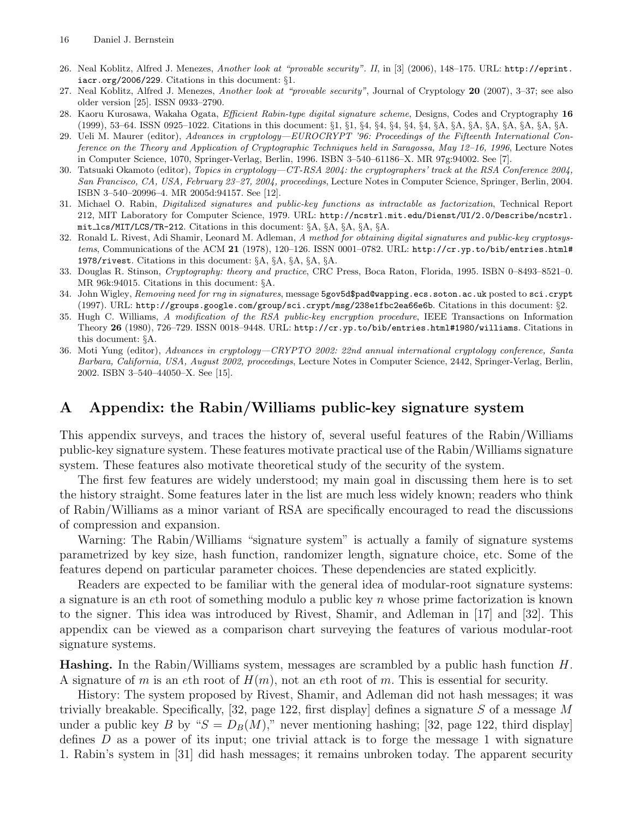- 26. Neal Koblitz, Alfred J. Menezes, Another look at "provable security". II, in [3] (2006), 148–175. URL: http://eprint. iacr.org/2006/229. Citations in this document: §1.
- 27. Neal Koblitz, Alfred J. Menezes, Another look at "provable security", Journal of Cryptology 20 (2007), 3–37; see also older version [25]. ISSN 0933–2790.
- 28. Kaoru Kurosawa, Wakaha Ogata, Efficient Rabin-type digital signature scheme, Designs, Codes and Cryptography 16 (1999), 53–64. ISSN 0925–1022. Citations in this document: §1, §1, §4, §4, §4, §4, §4, §A, §A, §A, §A, §A, §A, §A, §A.
- 29. Ueli M. Maurer (editor), Advances in cryptology—EUROCRYPT '96: Proceedings of the Fifteenth International Conference on the Theory and Application of Cryptographic Techniques held in Saragossa, May 12–16, 1996, Lecture Notes in Computer Science, 1070, Springer-Verlag, Berlin, 1996. ISBN 3–540–61186–X. MR 97g:94002. See [7].
- 30. Tatsuaki Okamoto (editor), Topics in cryptology—CT-RSA 2004: the cryptographers' track at the RSA Conference 2004, San Francisco, CA, USA, February 23–27, 2004, proceedings, Lecture Notes in Computer Science, Springer, Berlin, 2004. ISBN 3–540–20996–4. MR 2005d:94157. See [12].
- 31. Michael O. Rabin, Digitalized signatures and public-key functions as intractable as factorization, Technical Report 212, MIT Laboratory for Computer Science, 1979. URL: http://ncstrl.mit.edu/Dienst/UI/2.0/Describe/ncstrl. mit lcs/MIT/LCS/TR-212. Citations in this document: §A, §A, §A, §A, §A.
- 32. Ronald L. Rivest, Adi Shamir, Leonard M. Adleman, A method for obtaining digital signatures and public-key cryptosystems, Communications of the ACM 21 (1978), 120-126. ISSN 0001-0782. URL: http://cr.yp.to/bib/entries.html# 1978/rivest. Citations in this document: §A, §A, §A, §A, §A.
- 33. Douglas R. Stinson, Cryptography: theory and practice, CRC Press, Boca Raton, Florida, 1995. ISBN 0–8493–8521–0. MR 96k:94015. Citations in this document: §A.
- 34. John Wigley, Removing need for rng in signatures, message 5gov5d\$pad@wapping.ecs.soton.ac.uk posted to sci.crypt (1997). URL: http://groups.google.com/group/sci.crypt/msg/238e1fbc2ea66e6b. Citations in this document: §2.
- 35. Hugh C. Williams, A modification of the RSA public-key encryption procedure, IEEE Transactions on Information Theory 26 (1980), 726–729. ISSN 0018–9448. URL: http://cr.yp.to/bib/entries.html#1980/williams. Citations in this document: §A.
- 36. Moti Yung (editor), Advances in cryptology—CRYPTO 2002: 22nd annual international cryptology conference, Santa Barbara, California, USA, August 2002, proceedings, Lecture Notes in Computer Science, 2442, Springer-Verlag, Berlin, 2002. ISBN 3–540–44050–X. See [15].

## A Appendix: the Rabin/Williams public-key signature system

This appendix surveys, and traces the history of, several useful features of the Rabin/Williams public-key signature system. These features motivate practical use of the Rabin/Williams signature system. These features also motivate theoretical study of the security of the system.

The first few features are widely understood; my main goal in discussing them here is to set the history straight. Some features later in the list are much less widely known; readers who think of Rabin/Williams as a minor variant of RSA are specifically encouraged to read the discussions of compression and expansion.

Warning: The Rabin/Williams "signature system" is actually a family of signature systems parametrized by key size, hash function, randomizer length, signature choice, etc. Some of the features depend on particular parameter choices. These dependencies are stated explicitly.

Readers are expected to be familiar with the general idea of modular-root signature systems: a signature is an eth root of something modulo a public key  $n$  whose prime factorization is known to the signer. This idea was introduced by Rivest, Shamir, and Adleman in [17] and [32]. This appendix can be viewed as a comparison chart surveying the features of various modular-root signature systems.

**Hashing.** In the Rabin/Williams system, messages are scrambled by a public hash function  $H$ . A signature of m is an eth root of  $H(m)$ , not an eth root of m. This is essential for security.

History: The system proposed by Rivest, Shamir, and Adleman did not hash messages; it was trivially breakable. Specifically, [32, page 122, first display] defines a signature  $S$  of a message  $M$ under a public key B by " $S = D_B(M)$ ," never mentioning hashing; [32, page 122, third display] defines  $D$  as a power of its input; one trivial attack is to forge the message 1 with signature 1. Rabin's system in [31] did hash messages; it remains unbroken today. The apparent security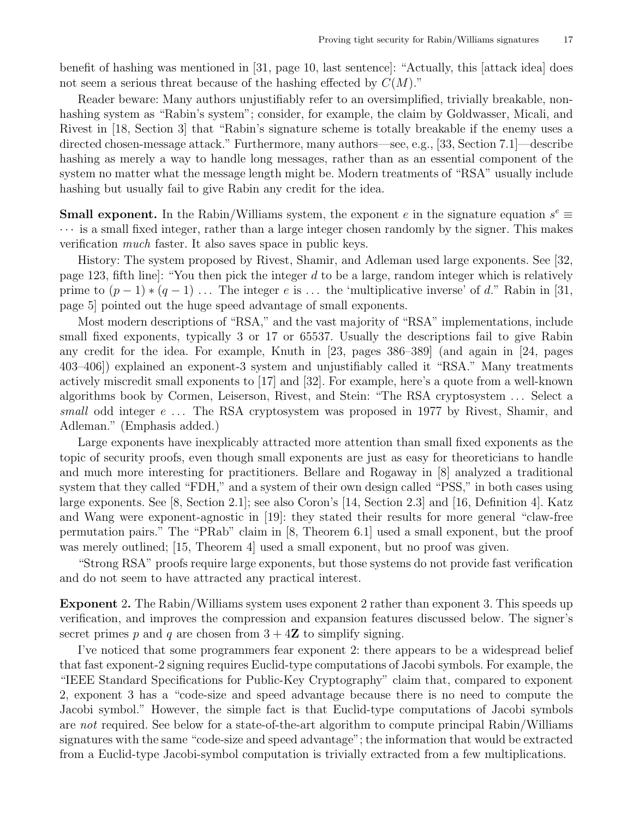benefit of hashing was mentioned in [31, page 10, last sentence]: "Actually, this [attack idea] does not seem a serious threat because of the hashing effected by  $C(M)$ ."

Reader beware: Many authors unjustifiably refer to an oversimplified, trivially breakable, nonhashing system as "Rabin's system"; consider, for example, the claim by Goldwasser, Micali, and Rivest in [18, Section 3] that "Rabin's signature scheme is totally breakable if the enemy uses a directed chosen-message attack." Furthermore, many authors—see, e.g., [33, Section 7.1]—describe hashing as merely a way to handle long messages, rather than as an essential component of the system no matter what the message length might be. Modern treatments of "RSA" usually include hashing but usually fail to give Rabin any credit for the idea.

**Small exponent.** In the Rabin/Williams system, the exponent e in the signature equation  $s^e \equiv$  $\cdots$  is a small fixed integer, rather than a large integer chosen randomly by the signer. This makes verification much faster. It also saves space in public keys.

History: The system proposed by Rivest, Shamir, and Adleman used large exponents. See [32, page 123, fifth line. "You then pick the integer d to be a large, random integer which is relatively prime to  $(p-1)*(q-1)$ ... The integer e is ... the 'multiplicative inverse' of d." Rabin in [31, page 5] pointed out the huge speed advantage of small exponents.

Most modern descriptions of "RSA," and the vast majority of "RSA" implementations, include small fixed exponents, typically 3 or 17 or 65537. Usually the descriptions fail to give Rabin any credit for the idea. For example, Knuth in [23, pages 386–389] (and again in [24, pages 403–406]) explained an exponent-3 system and unjustifiably called it "RSA." Many treatments actively miscredit small exponents to [17] and [32]. For example, here's a quote from a well-known algorithms book by Cormen, Leiserson, Rivest, and Stein: "The RSA cryptosystem . . . Select a small odd integer  $e \ldots$  The RSA cryptosystem was proposed in 1977 by Rivest, Shamir, and Adleman." (Emphasis added.)

Large exponents have inexplicably attracted more attention than small fixed exponents as the topic of security proofs, even though small exponents are just as easy for theoreticians to handle and much more interesting for practitioners. Bellare and Rogaway in [8] analyzed a traditional system that they called "FDH," and a system of their own design called "PSS," in both cases using large exponents. See [8, Section 2.1]; see also Coron's [14, Section 2.3] and [16, Definition 4]. Katz and Wang were exponent-agnostic in [19]: they stated their results for more general "claw-free permutation pairs." The "PRab" claim in [8, Theorem 6.1] used a small exponent, but the proof was merely outlined; [15, Theorem 4] used a small exponent, but no proof was given.

"Strong RSA" proofs require large exponents, but those systems do not provide fast verification and do not seem to have attracted any practical interest.

Exponent 2. The Rabin/Williams system uses exponent 2 rather than exponent 3. This speeds up verification, and improves the compression and expansion features discussed below. The signer's secret primes p and q are chosen from  $3 + 4Z$  to simplify signing.

I've noticed that some programmers fear exponent 2: there appears to be a widespread belief that fast exponent-2 signing requires Euclid-type computations of Jacobi symbols. For example, the "IEEE Standard Specifications for Public-Key Cryptography" claim that, compared to exponent 2, exponent 3 has a "code-size and speed advantage because there is no need to compute the Jacobi symbol." However, the simple fact is that Euclid-type computations of Jacobi symbols are not required. See below for a state-of-the-art algorithm to compute principal Rabin/Williams signatures with the same "code-size and speed advantage"; the information that would be extracted from a Euclid-type Jacobi-symbol computation is trivially extracted from a few multiplications.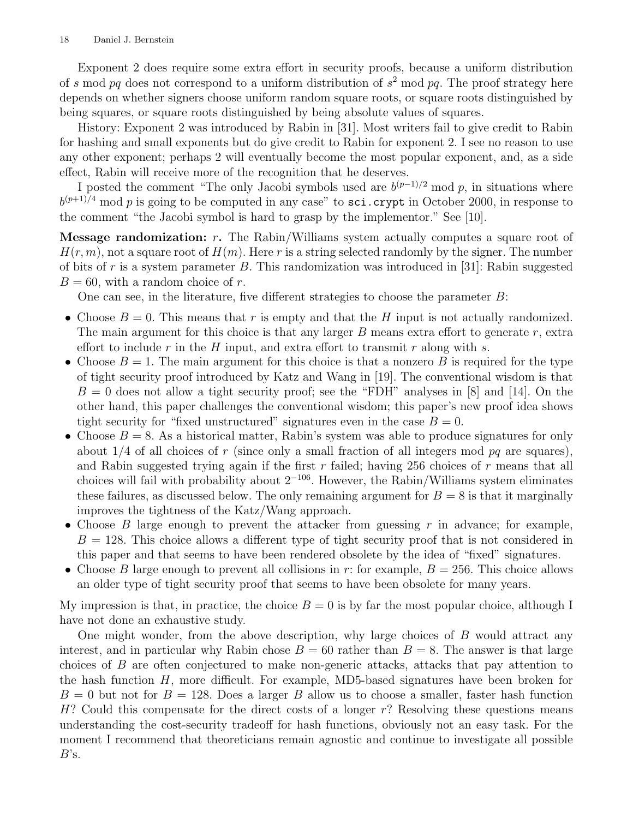Exponent 2 does require some extra effort in security proofs, because a uniform distribution of s mod pq does not correspond to a uniform distribution of  $s^2$  mod pq. The proof strategy here depends on whether signers choose uniform random square roots, or square roots distinguished by being squares, or square roots distinguished by being absolute values of squares.

History: Exponent 2 was introduced by Rabin in [31]. Most writers fail to give credit to Rabin for hashing and small exponents but do give credit to Rabin for exponent 2. I see no reason to use any other exponent; perhaps 2 will eventually become the most popular exponent, and, as a side effect, Rabin will receive more of the recognition that he deserves.

I posted the comment "The only Jacobi symbols used are  $b^{(p-1)/2} \mod p$ , in situations where  $b^{(p+1)/4}$  mod p is going to be computed in any case" to sci.crypt in October 2000, in response to the comment "the Jacobi symbol is hard to grasp by the implementor." See [10].

**Message randomization:**  $r$ . The Rabin/Williams system actually computes a square root of  $H(r, m)$ , not a square root of  $H(m)$ . Here r is a string selected randomly by the signer. The number of bits of r is a system parameter B. This randomization was introduced in [31]: Rabin suggested  $B = 60$ , with a random choice of r.

One can see, in the literature, five different strategies to choose the parameter B:

- Choose  $B = 0$ . This means that r is empty and that the H input is not actually randomized. The main argument for this choice is that any larger  $B$  means extra effort to generate  $r$ , extra effort to include r in the H input, and extra effort to transmit r along with s.
- Choose  $B = 1$ . The main argument for this choice is that a nonzero B is required for the type of tight security proof introduced by Katz and Wang in [19]. The conventional wisdom is that  $B = 0$  does not allow a tight security proof; see the "FDH" analyses in [8] and [14]. On the other hand, this paper challenges the conventional wisdom; this paper's new proof idea shows tight security for "fixed unstructured" signatures even in the case  $B = 0$ .
- Choose  $B = 8$ . As a historical matter, Rabin's system was able to produce signatures for only about  $1/4$  of all choices of r (since only a small fraction of all integers mod pq are squares), and Rabin suggested trying again if the first  $r$  failed; having 256 choices of  $r$  means that all choices will fail with probability about  $2^{-106}$ . However, the Rabin/Williams system eliminates these failures, as discussed below. The only remaining argument for  $B = 8$  is that it marginally improves the tightness of the Katz/Wang approach.
- Choose B large enough to prevent the attacker from guessing  $r$  in advance; for example,  $B = 128$ . This choice allows a different type of tight security proof that is not considered in this paper and that seems to have been rendered obsolete by the idea of "fixed" signatures.
- Choose B large enough to prevent all collisions in r: for example,  $B = 256$ . This choice allows an older type of tight security proof that seems to have been obsolete for many years.

My impression is that, in practice, the choice  $B = 0$  is by far the most popular choice, although I have not done an exhaustive study.

One might wonder, from the above description, why large choices of B would attract any interest, and in particular why Rabin chose  $B = 60$  rather than  $B = 8$ . The answer is that large choices of B are often conjectured to make non-generic attacks, attacks that pay attention to the hash function H, more difficult. For example, MD5-based signatures have been broken for  $B = 0$  but not for  $B = 128$ . Does a larger B allow us to choose a smaller, faster hash function  $H$ ? Could this compensate for the direct costs of a longer  $r$ ? Resolving these questions means understanding the cost-security tradeoff for hash functions, obviously not an easy task. For the moment I recommend that theoreticians remain agnostic and continue to investigate all possible  $B$ 's.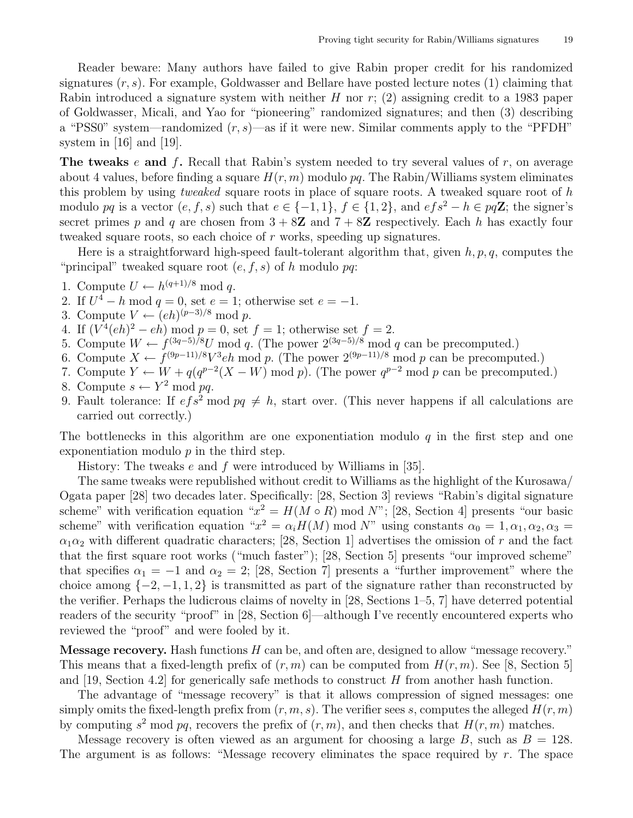Reader beware: Many authors have failed to give Rabin proper credit for his randomized signatures  $(r, s)$ . For example, Goldwasser and Bellare have posted lecture notes  $(1)$  claiming that Rabin introduced a signature system with neither H nor  $r$ ; (2) assigning credit to a 1983 paper of Goldwasser, Micali, and Yao for "pioneering" randomized signatures; and then (3) describing a "PSS0" system—randomized  $(r, s)$ —as if it were new. Similar comments apply to the "PFDH" system in [16] and [19].

**The tweaks** e and f. Recall that Rabin's system needed to try several values of r, on average about 4 values, before finding a square  $H(r, m)$  modulo pq. The Rabin/Williams system eliminates this problem by using *tweaked* square roots in place of square roots. A tweaked square root of  $h$ modulo pq is a vector  $(e, f, s)$  such that  $e \in \{-1, 1\}$ ,  $f \in \{1, 2\}$ , and  $ef s^2 - h \in pq\mathbb{Z}$ ; the signer's secret primes p and q are chosen from  $3 + 8Z$  and  $7 + 8Z$  respectively. Each h has exactly four tweaked square roots, so each choice of r works, speeding up signatures.

Here is a straightforward high-speed fault-tolerant algorithm that, given  $h, p, q$ , computes the "principal" tweaked square root  $(e, f, s)$  of h modulo pq:

- 1. Compute  $U \leftarrow h^{(q+1)/8} \text{ mod } q$ .
- 2. If  $U^4 h \mod q = 0$ , set  $e = 1$ ; otherwise set  $e = -1$ .
- 3. Compute  $V \leftarrow (eh)^{(p-3)/8} \text{ mod } p$ .
- 4. If  $(V^4(eh)^2 eh) \text{ mod } p = 0$ , set  $f = 1$ ; otherwise set  $f = 2$ .
- 5. Compute  $W \leftarrow f^{(3q-5)/8}U \mod q$ . (The power  $2^{(3q-5)/8} \mod q$  can be precomputed.)
- 6. Compute  $X \leftarrow f^{(9p-11)/8}V^3eh \mod p$ . (The power  $2^{(9p-11)/8} \mod p$  can be precomputed.)
- 7. Compute  $Y \leftarrow W + q(q^{p-2}(X W) \mod p)$ . (The power  $q^{p-2} \mod p$  can be precomputed.)
- 8. Compute  $s \leftarrow Y^2 \mod pq$ .
- 9. Fault tolerance: If  $efs^2 \mod pq \neq h$ , start over. (This never happens if all calculations are carried out correctly.)

The bottlenecks in this algorithm are one exponentiation modulo  $q$  in the first step and one exponentiation modulo  $p$  in the third step.

History: The tweaks e and f were introduced by Williams in [35].

The same tweaks were republished without credit to Williams as the highlight of the Kurosawa/ Ogata paper [28] two decades later. Specifically: [28, Section 3] reviews "Rabin's digital signature scheme" with verification equation " $x^2 = H(M \circ R)$  mod N"; [28, Section 4] presents "our basic scheme" with verification equation " $x^2 = \alpha_i H(M)$  mod N" using constants  $\alpha_0 = 1, \alpha_1, \alpha_2, \alpha_3 =$  $\alpha_1\alpha_2$  with different quadratic characters; [28, Section 1] advertises the omission of r and the fact that the first square root works ("much faster"); [28, Section 5] presents "our improved scheme" that specifies  $\alpha_1 = -1$  and  $\alpha_2 = 2$ ; [28, Section 7] presents a "further improvement" where the choice among  $\{-2, -1, 1, 2\}$  is transmitted as part of the signature rather than reconstructed by the verifier. Perhaps the ludicrous claims of novelty in [28, Sections 1–5, 7] have deterred potential readers of the security "proof" in [28, Section 6]—although I've recently encountered experts who reviewed the "proof" and were fooled by it.

**Message recovery.** Hash functions  $H$  can be, and often are, designed to allow "message recovery." This means that a fixed-length prefix of  $(r, m)$  can be computed from  $H(r, m)$ . See [8, Section 5] and [19, Section 4.2] for generically safe methods to construct  $H$  from another hash function.

The advantage of "message recovery" is that it allows compression of signed messages: one simply omits the fixed-length prefix from  $(r, m, s)$ . The verifier sees s, computes the alleged  $H(r, m)$ by computing  $s^2$  mod pq, recovers the prefix of  $(r, m)$ , and then checks that  $H(r, m)$  matches.

Message recovery is often viewed as an argument for choosing a large B, such as  $B = 128$ . The argument is as follows: "Message recovery eliminates the space required by  $r$ . The space